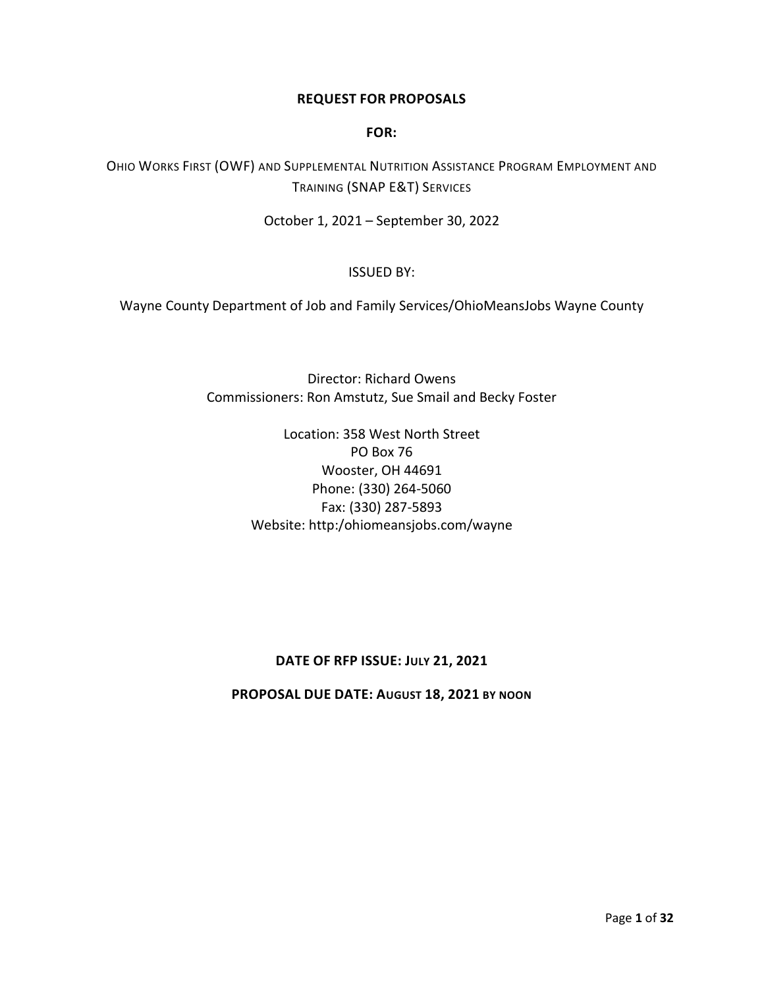#### **REQUEST FOR PROPOSALS**

#### **FOR:**

OHIO WORKS FIRST (OWF) AND SUPPLEMENTAL NUTRITION ASSISTANCE PROGRAM EMPLOYMENT AND TRAINING (SNAP E&T) SERVICES

October 1, 2021 – September 30, 2022

#### ISSUED BY:

Wayne County Department of Job and Family Services/OhioMeansJobs Wayne County

Director: Richard Owens Commissioners: Ron Amstutz, Sue Smail and Becky Foster

> Location: 358 West North Street PO Box 76 Wooster, OH 44691 Phone: (330) 264-5060 Fax: (330) 287-5893 Website: http:/ohiomeansjobs.com/wayne

## **DATE OF RFP ISSUE: JULY 21, 2021**

**PROPOSAL DUE DATE: AUGUST 18, 2021 BY NOON**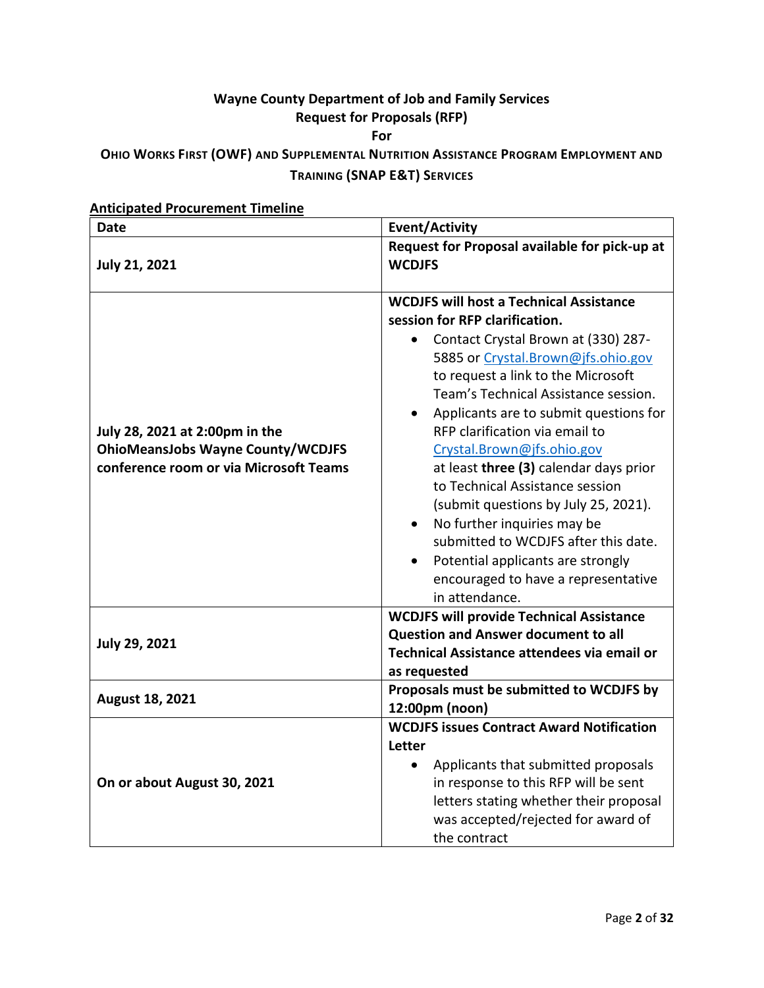# **Wayne County Department of Job and Family Services Request for Proposals (RFP) For**

## **OHIO WORKS FIRST (OWF) AND SUPPLEMENTAL NUTRITION ASSISTANCE PROGRAM EMPLOYMENT AND TRAINING (SNAP E&T) SERVICES**

| Date                                                                                                                 | <b>Event/Activity</b>                                                                                                                                                                                                                                                                                                                                                                                                                                                                                                                                                                                                                                        |
|----------------------------------------------------------------------------------------------------------------------|--------------------------------------------------------------------------------------------------------------------------------------------------------------------------------------------------------------------------------------------------------------------------------------------------------------------------------------------------------------------------------------------------------------------------------------------------------------------------------------------------------------------------------------------------------------------------------------------------------------------------------------------------------------|
| <b>July 21, 2021</b>                                                                                                 | Request for Proposal available for pick-up at<br><b>WCDJFS</b>                                                                                                                                                                                                                                                                                                                                                                                                                                                                                                                                                                                               |
| July 28, 2021 at 2:00pm in the<br><b>OhioMeansJobs Wayne County/WCDJFS</b><br>conference room or via Microsoft Teams | <b>WCDJFS will host a Technical Assistance</b><br>session for RFP clarification.<br>Contact Crystal Brown at (330) 287-<br>5885 or Crystal.Brown@jfs.ohio.gov<br>to request a link to the Microsoft<br>Team's Technical Assistance session.<br>Applicants are to submit questions for<br>RFP clarification via email to<br>Crystal.Brown@jfs.ohio.gov<br>at least three (3) calendar days prior<br>to Technical Assistance session<br>(submit questions by July 25, 2021).<br>No further inquiries may be<br>$\bullet$<br>submitted to WCDJFS after this date.<br>Potential applicants are strongly<br>encouraged to have a representative<br>in attendance. |
| <b>July 29, 2021</b>                                                                                                 | <b>WCDJFS will provide Technical Assistance</b><br><b>Question and Answer document to all</b><br>Technical Assistance attendees via email or<br>as requested                                                                                                                                                                                                                                                                                                                                                                                                                                                                                                 |
| <b>August 18, 2021</b>                                                                                               | Proposals must be submitted to WCDJFS by<br>12:00pm (noon)                                                                                                                                                                                                                                                                                                                                                                                                                                                                                                                                                                                                   |
| On or about August 30, 2021                                                                                          | <b>WCDJFS issues Contract Award Notification</b><br>Letter<br>Applicants that submitted proposals<br>in response to this RFP will be sent<br>letters stating whether their proposal<br>was accepted/rejected for award of<br>the contract                                                                                                                                                                                                                                                                                                                                                                                                                    |

## **Anticipated Procurement Timeline**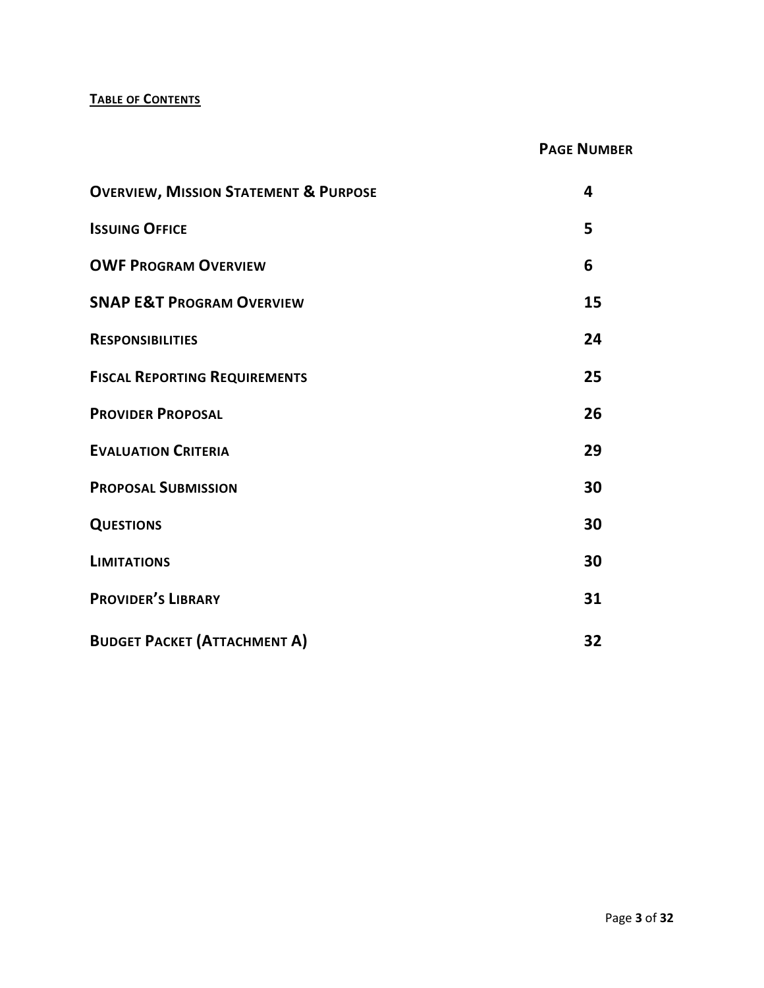## **TABLE OF CONTENTS**

## **PAGE NUMBER**

| <b>OVERVIEW, MISSION STATEMENT &amp; PURPOSE</b> | 4  |
|--------------------------------------------------|----|
| <b>ISSUING OFFICE</b>                            | 5  |
| <b>OWF PROGRAM OVERVIEW</b>                      | 6  |
| <b>SNAP E&amp;T PROGRAM OVERVIEW</b>             | 15 |
| <b>RESPONSIBILITIES</b>                          | 24 |
| <b>FISCAL REPORTING REQUIREMENTS</b>             | 25 |
| <b>PROVIDER PROPOSAL</b>                         | 26 |
| <b>EVALUATION CRITERIA</b>                       | 29 |
| <b>PROPOSAL SUBMISSION</b>                       | 30 |
| <b>QUESTIONS</b>                                 | 30 |
| <b>LIMITATIONS</b>                               | 30 |
| <b>PROVIDER'S LIBRARY</b>                        | 31 |
| <b>BUDGET PACKET (ATTACHMENT A)</b>              | 32 |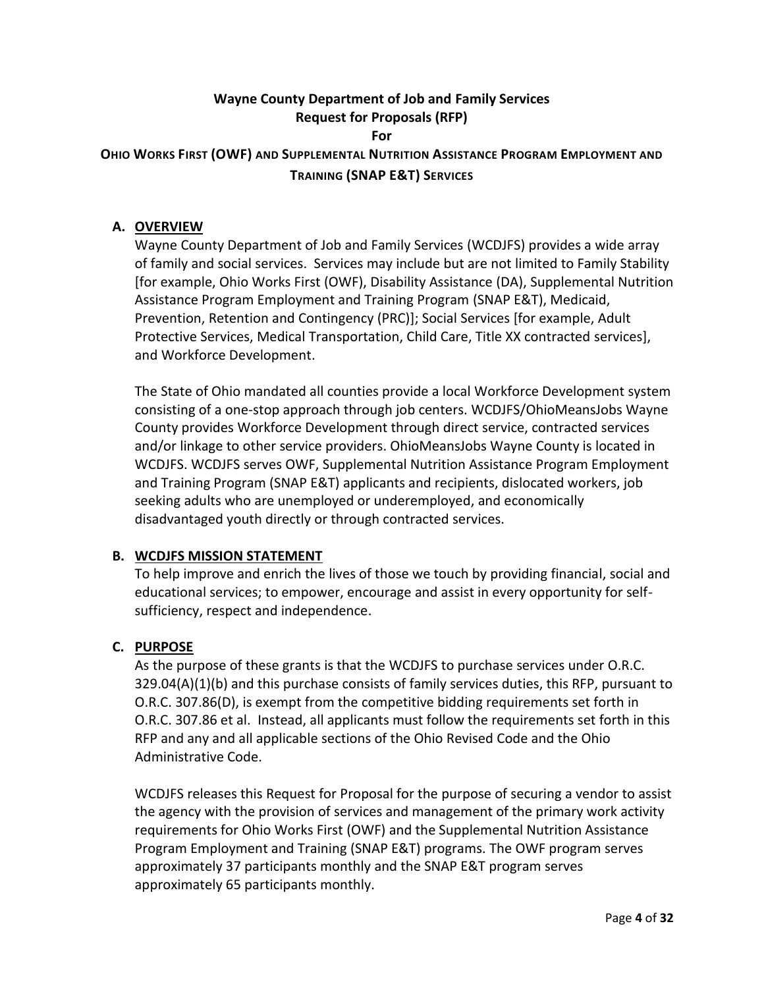## **Wayne County Department of Job and Family Services Request for Proposals (RFP) For**

## **OHIO WORKS FIRST (OWF) AND SUPPLEMENTAL NUTRITION ASSISTANCE PROGRAM EMPLOYMENT AND TRAINING (SNAP E&T) SERVICES**

## **A. OVERVIEW**

Wayne County Department of Job and Family Services (WCDJFS) provides a wide array of family and social services. Services may include but are not limited to Family Stability [for example, Ohio Works First (OWF), Disability Assistance (DA), Supplemental Nutrition Assistance Program Employment and Training Program (SNAP E&T), Medicaid, Prevention, Retention and Contingency (PRC)]; Social Services [for example, Adult Protective Services, Medical Transportation, Child Care, Title XX contracted services], and Workforce Development.

The State of Ohio mandated all counties provide a local Workforce Development system consisting of a one-stop approach through job centers. WCDJFS/OhioMeansJobs Wayne County provides Workforce Development through direct service, contracted services and/or linkage to other service providers. OhioMeansJobs Wayne County is located in WCDJFS. WCDJFS serves OWF, Supplemental Nutrition Assistance Program Employment and Training Program (SNAP E&T) applicants and recipients, dislocated workers, job seeking adults who are unemployed or underemployed, and economically disadvantaged youth directly or through contracted services.

## **B. WCDJFS MISSION STATEMENT**

To help improve and enrich the lives of those we touch by providing financial, social and educational services; to empower, encourage and assist in every opportunity for selfsufficiency, respect and independence.

## **C. PURPOSE**

As the purpose of these grants is that the WCDJFS to purchase services under O.R.C. 329.04(A)(1)(b) and this purchase consists of family services duties, this RFP, pursuant to O.R.C. 307.86(D), is exempt from the competitive bidding requirements set forth in O.R.C. 307.86 et al. Instead, all applicants must follow the requirements set forth in this RFP and any and all applicable sections of the Ohio Revised Code and the Ohio Administrative Code.

WCDJFS releases this Request for Proposal for the purpose of securing a vendor to assist the agency with the provision of services and management of the primary work activity requirements for Ohio Works First (OWF) and the Supplemental Nutrition Assistance Program Employment and Training (SNAP E&T) programs. The OWF program serves approximately 37 participants monthly and the SNAP E&T program serves approximately 65 participants monthly.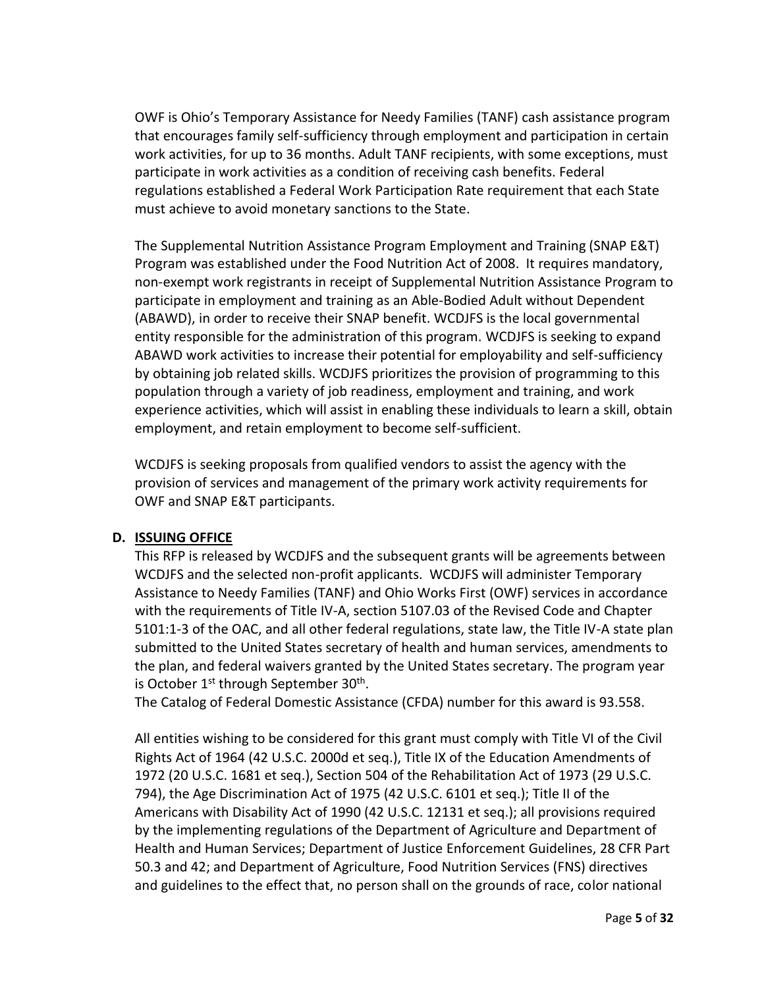OWF is Ohio's Temporary Assistance for Needy Families (TANF) cash assistance program that encourages family self-sufficiency through employment and participation in certain work activities, for up to 36 months. Adult TANF recipients, with some exceptions, must participate in work activities as a condition of receiving cash benefits. Federal regulations established a Federal Work Participation Rate requirement that each State must achieve to avoid monetary sanctions to the State.

The Supplemental Nutrition Assistance Program Employment and Training (SNAP E&T) Program was established under the Food Nutrition Act of 2008. It requires mandatory, non-exempt work registrants in receipt of Supplemental Nutrition Assistance Program to participate in employment and training as an Able-Bodied Adult without Dependent (ABAWD), in order to receive their SNAP benefit. WCDJFS is the local governmental entity responsible for the administration of this program. WCDJFS is seeking to expand ABAWD work activities to increase their potential for employability and self-sufficiency by obtaining job related skills. WCDJFS prioritizes the provision of programming to this population through a variety of job readiness, employment and training, and work experience activities, which will assist in enabling these individuals to learn a skill, obtain employment, and retain employment to become self-sufficient.

WCDJFS is seeking proposals from qualified vendors to assist the agency with the provision of services and management of the primary work activity requirements for OWF and SNAP E&T participants.

## **D. ISSUING OFFICE**

This RFP is released by WCDJFS and the subsequent grants will be agreements between WCDJFS and the selected non-profit applicants. WCDJFS will administer Temporary Assistance to Needy Families (TANF) and Ohio Works First (OWF) services in accordance with the requirements of Title IV-A, section 5107.03 of the Revised Code and Chapter 5101:1-3 of the OAC, and all other federal regulations, state law, the Title IV-A state plan submitted to the United States secretary of health and human services, amendments to the plan, and federal waivers granted by the United States secretary. The program year is October 1<sup>st</sup> through September 30<sup>th</sup>.

The Catalog of Federal Domestic Assistance (CFDA) number for this award is 93.558.

All entities wishing to be considered for this grant must comply with Title VI of the Civil Rights Act of 1964 (42 U.S.C. 2000d et seq.), Title IX of the Education Amendments of 1972 (20 U.S.C. 1681 et seq.), Section 504 of the Rehabilitation Act of 1973 (29 U.S.C. 794), the Age Discrimination Act of 1975 (42 U.S.C. 6101 et seq.); Title II of the Americans with Disability Act of 1990 (42 U.S.C. 12131 et seq.); all provisions required by the implementing regulations of the Department of Agriculture and Department of Health and Human Services; Department of Justice Enforcement Guidelines, 28 CFR Part 50.3 and 42; and Department of Agriculture, Food Nutrition Services (FNS) directives and guidelines to the effect that, no person shall on the grounds of race, color national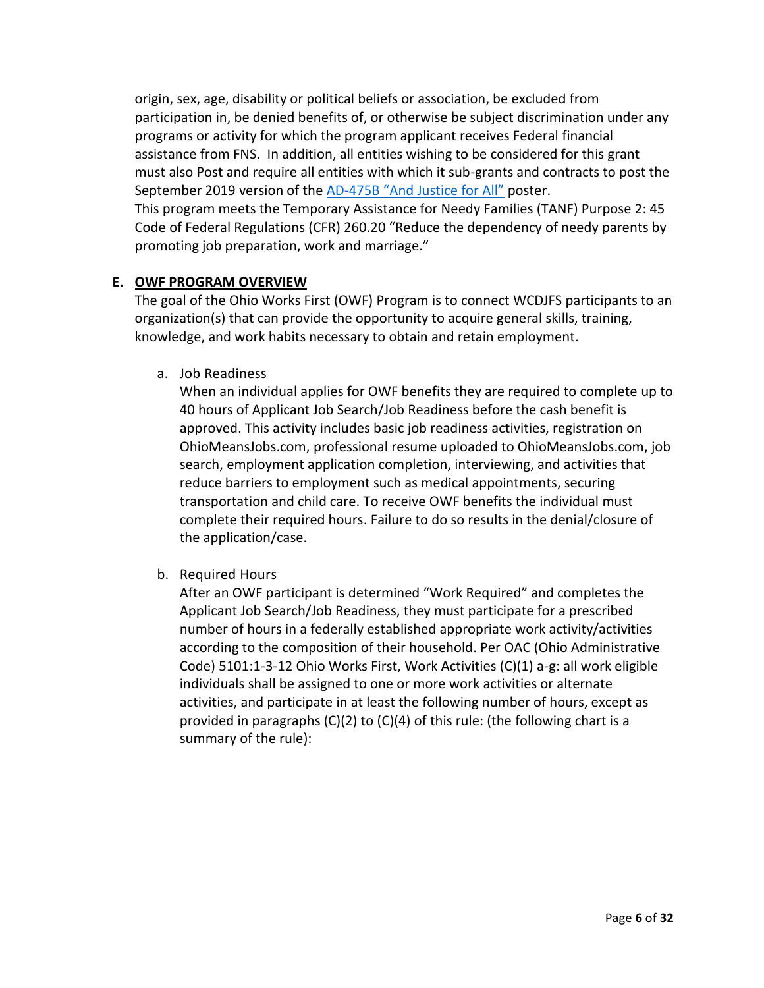origin, sex, age, disability or political beliefs or association, be excluded from participation in, be denied benefits of, or otherwise be subject discrimination under any programs or activity for which the program applicant receives Federal financial assistance from FNS. In addition, all entities wishing to be considered for this grant must also Post and require all entities with which it sub-grants and contracts to post the September 2019 version of the AD-[475B "And Justice for All"](https://www.usda.gov/sites/default/files/documents/JFAblue508.pdf) poster. This program meets the Temporary Assistance for Needy Families (TANF) Purpose 2: 45 Code of Federal Regulations (CFR) 260.20 "Reduce the dependency of needy parents by promoting job preparation, work and marriage."

## **E. OWF PROGRAM OVERVIEW**

The goal of the Ohio Works First (OWF) Program is to connect WCDJFS participants to an organization(s) that can provide the opportunity to acquire general skills, training, knowledge, and work habits necessary to obtain and retain employment.

a. Job Readiness

When an individual applies for OWF benefits they are required to complete up to 40 hours of Applicant Job Search/Job Readiness before the cash benefit is approved. This activity includes basic job readiness activities, registration on OhioMeansJobs.com, professional resume uploaded to OhioMeansJobs.com, job search, employment application completion, interviewing, and activities that reduce barriers to employment such as medical appointments, securing transportation and child care. To receive OWF benefits the individual must complete their required hours. Failure to do so results in the denial/closure of the application/case.

b. Required Hours

After an OWF participant is determined "Work Required" and completes the Applicant Job Search/Job Readiness, they must participate for a prescribed number of hours in a federally established appropriate work activity/activities according to the composition of their household. Per OAC (Ohio Administrative Code) 5101:1-3-12 Ohio Works First, Work Activities (C)(1) a-g: all work eligible individuals shall be assigned to one or more work activities or alternate activities, and participate in at least the following number of hours, except as provided in paragraphs (C)(2) to (C)(4) of this rule: (the following chart is a summary of the rule):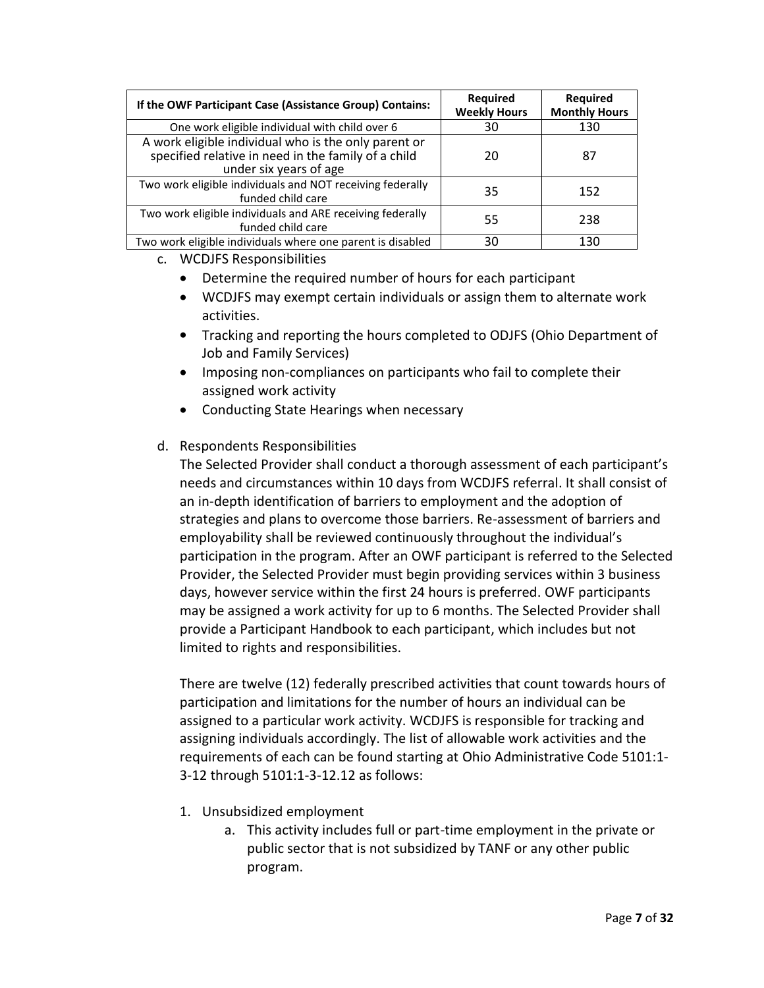| If the OWF Participant Case (Assistance Group) Contains:                                                                              | <b>Required</b><br><b>Weekly Hours</b> | <b>Required</b><br><b>Monthly Hours</b> |
|---------------------------------------------------------------------------------------------------------------------------------------|----------------------------------------|-----------------------------------------|
| One work eligible individual with child over 6                                                                                        | 30                                     | 130                                     |
| A work eligible individual who is the only parent or<br>specified relative in need in the family of a child<br>under six years of age | 20                                     | 87                                      |
| Two work eligible individuals and NOT receiving federally<br>funded child care                                                        | 35                                     | 152                                     |
| Two work eligible individuals and ARE receiving federally<br>funded child care                                                        | 55                                     | 238                                     |
| Two work eligible individuals where one parent is disabled                                                                            | 30                                     | 130                                     |

- c. WCDJFS Responsibilities
	- Determine the required number of hours for each participant
	- WCDJFS may exempt certain individuals or assign them to alternate work activities.
	- Tracking and reporting the hours completed to ODJFS (Ohio Department of Job and Family Services)
	- Imposing non-compliances on participants who fail to complete their assigned work activity
	- Conducting State Hearings when necessary

## d. Respondents Responsibilities

The Selected Provider shall conduct a thorough assessment of each participant's needs and circumstances within 10 days from WCDJFS referral. It shall consist of an in-depth identification of barriers to employment and the adoption of strategies and plans to overcome those barriers. Re-assessment of barriers and employability shall be reviewed continuously throughout the individual's participation in the program. After an OWF participant is referred to the Selected Provider, the Selected Provider must begin providing services within 3 business days, however service within the first 24 hours is preferred. OWF participants may be assigned a work activity for up to 6 months. The Selected Provider shall provide a Participant Handbook to each participant, which includes but not limited to rights and responsibilities.

There are twelve (12) federally prescribed activities that count towards hours of participation and limitations for the number of hours an individual can be assigned to a particular work activity. WCDJFS is responsible for tracking and assigning individuals accordingly. The list of allowable work activities and the requirements of each can be found starting at Ohio Administrative Code 5101:1- 3-12 through 5101:1-3-12.12 as follows:

- 1. Unsubsidized employment
	- a. This activity includes full or part-time employment in the private or public sector that is not subsidized by TANF or any other public program.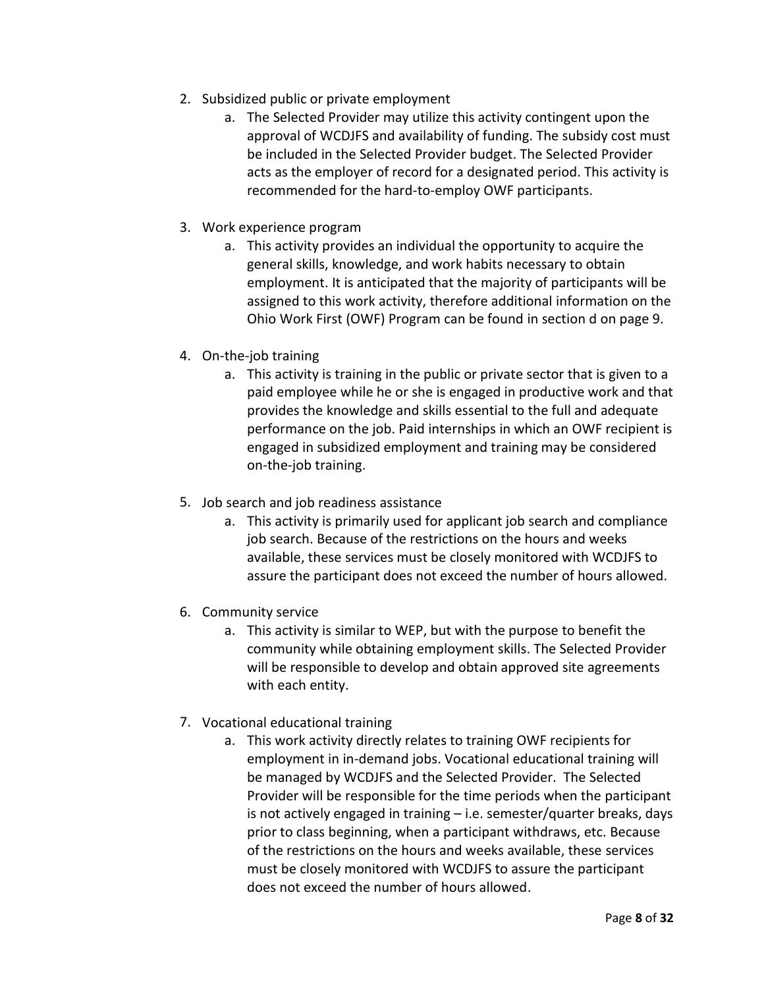- 2. Subsidized public or private employment
	- a. The Selected Provider may utilize this activity contingent upon the approval of WCDJFS and availability of funding. The subsidy cost must be included in the Selected Provider budget. The Selected Provider acts as the employer of record for a designated period. This activity is recommended for the hard-to-employ OWF participants.
- 3. Work experience program
	- a. This activity provides an individual the opportunity to acquire the general skills, knowledge, and work habits necessary to obtain employment. It is anticipated that the majority of participants will be assigned to this work activity, therefore additional information on the Ohio Work First (OWF) Program can be found in section d on page 9.
- 4. On-the-job training
	- a. This activity is training in the public or private sector that is given to a paid employee while he or she is engaged in productive work and that provides the knowledge and skills essential to the full and adequate performance on the job. Paid internships in which an OWF recipient is engaged in subsidized employment and training may be considered on-the-job training.
- 5. Job search and job readiness assistance
	- a. This activity is primarily used for applicant job search and compliance job search. Because of the restrictions on the hours and weeks available, these services must be closely monitored with WCDJFS to assure the participant does not exceed the number of hours allowed.
- 6. Community service
	- a. This activity is similar to WEP, but with the purpose to benefit the community while obtaining employment skills. The Selected Provider will be responsible to develop and obtain approved site agreements with each entity.
- 7. Vocational educational training
	- a. This work activity directly relates to training OWF recipients for employment in in-demand jobs. Vocational educational training will be managed by WCDJFS and the Selected Provider. The Selected Provider will be responsible for the time periods when the participant is not actively engaged in training – i.e. semester/quarter breaks, days prior to class beginning, when a participant withdraws, etc. Because of the restrictions on the hours and weeks available, these services must be closely monitored with WCDJFS to assure the participant does not exceed the number of hours allowed.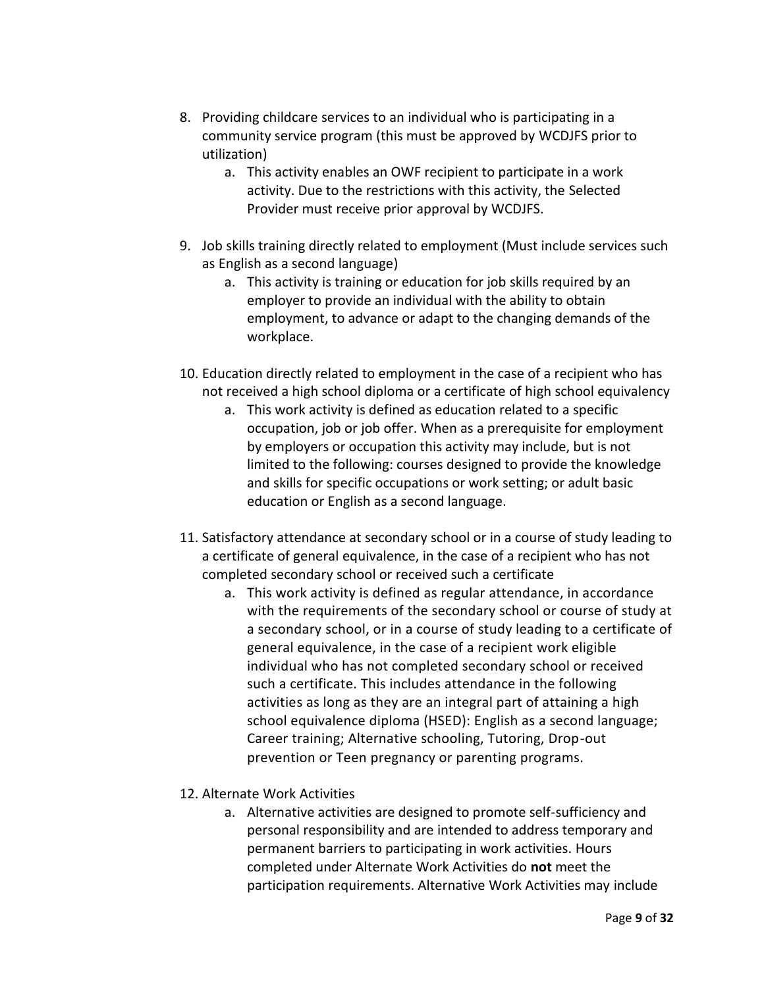- 8. Providing childcare services to an individual who is participating in a community service program (this must be approved by WCDJFS prior to utilization)
	- a. This activity enables an OWF recipient to participate in a work activity. Due to the restrictions with this activity, the Selected Provider must receive prior approval by WCDJFS.
- 9. Job skills training directly related to employment (Must include services such as English as a second language)
	- a. This activity is training or education for job skills required by an employer to provide an individual with the ability to obtain employment, to advance or adapt to the changing demands of the workplace.
- 10. Education directly related to employment in the case of a recipient who has not received a high school diploma or a certificate of high school equivalency
	- a. This work activity is defined as education related to a specific occupation, job or job offer. When as a prerequisite for employment by employers or occupation this activity may include, but is not limited to the following: courses designed to provide the knowledge and skills for specific occupations or work setting; or adult basic education or English as a second language.
- 11. Satisfactory attendance at secondary school or in a course of study leading to a certificate of general equivalence, in the case of a recipient who has not completed secondary school or received such a certificate
	- a. This work activity is defined as regular attendance, in accordance with the requirements of the secondary school or course of study at a secondary school, or in a course of study leading to a certificate of general equivalence, in the case of a recipient work eligible individual who has not completed secondary school or received such a certificate. This includes attendance in the following activities as long as they are an integral part of attaining a high school equivalence diploma (HSED): English as a second language; Career training; Alternative schooling, Tutoring, Drop-out prevention or Teen pregnancy or parenting programs.
- 12. Alternate Work Activities
	- a. Alternative activities are designed to promote self-sufficiency and personal responsibility and are intended to address temporary and permanent barriers to participating in work activities. Hours completed under Alternate Work Activities do **not** meet the participation requirements. Alternative Work Activities may include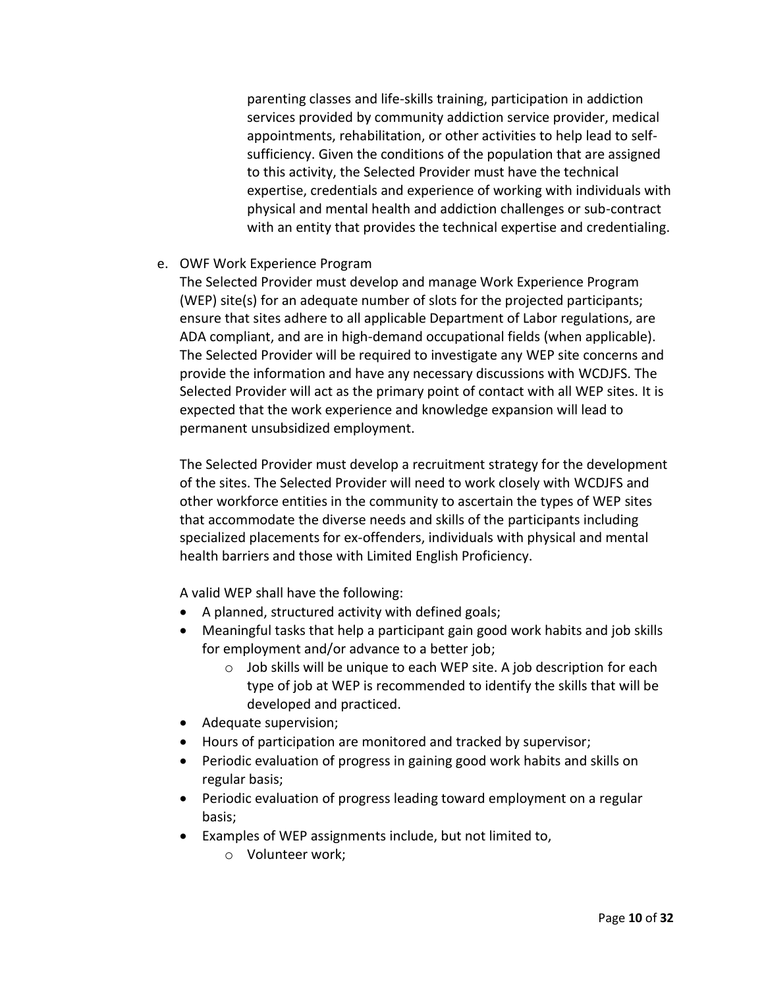parenting classes and life-skills training, participation in addiction services provided by community addiction service provider, medical appointments, rehabilitation, or other activities to help lead to selfsufficiency. Given the conditions of the population that are assigned to this activity, the Selected Provider must have the technical expertise, credentials and experience of working with individuals with physical and mental health and addiction challenges or sub-contract with an entity that provides the technical expertise and credentialing.

## e. OWF Work Experience Program

The Selected Provider must develop and manage Work Experience Program (WEP) site(s) for an adequate number of slots for the projected participants; ensure that sites adhere to all applicable Department of Labor regulations, are ADA compliant, and are in high-demand occupational fields (when applicable). The Selected Provider will be required to investigate any WEP site concerns and provide the information and have any necessary discussions with WCDJFS. The Selected Provider will act as the primary point of contact with all WEP sites. It is expected that the work experience and knowledge expansion will lead to permanent unsubsidized employment.

The Selected Provider must develop a recruitment strategy for the development of the sites. The Selected Provider will need to work closely with WCDJFS and other workforce entities in the community to ascertain the types of WEP sites that accommodate the diverse needs and skills of the participants including specialized placements for ex-offenders, individuals with physical and mental health barriers and those with Limited English Proficiency.

A valid WEP shall have the following:

- A planned, structured activity with defined goals;
- Meaningful tasks that help a participant gain good work habits and job skills for employment and/or advance to a better job;
	- o Job skills will be unique to each WEP site. A job description for each type of job at WEP is recommended to identify the skills that will be developed and practiced.
- Adequate supervision;
- Hours of participation are monitored and tracked by supervisor;
- Periodic evaluation of progress in gaining good work habits and skills on regular basis;
- Periodic evaluation of progress leading toward employment on a regular basis;
- Examples of WEP assignments include, but not limited to,
	- o Volunteer work;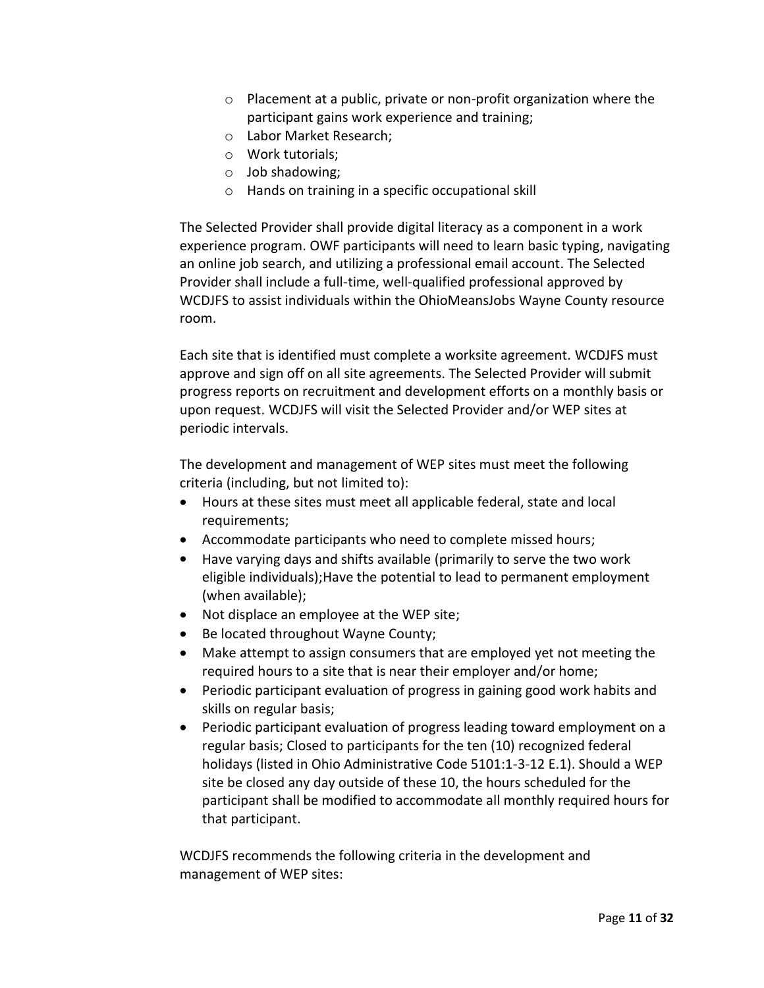- o Placement at a public, private or non-profit organization where the participant gains work experience and training;
- o Labor Market Research;
- o Work tutorials;
- o Job shadowing;
- o Hands on training in a specific occupational skill

The Selected Provider shall provide digital literacy as a component in a work experience program. OWF participants will need to learn basic typing, navigating an online job search, and utilizing a professional email account. The Selected Provider shall include a full-time, well-qualified professional approved by WCDJFS to assist individuals within the OhioMeansJobs Wayne County resource room.

Each site that is identified must complete a worksite agreement. WCDJFS must approve and sign off on all site agreements. The Selected Provider will submit progress reports on recruitment and development efforts on a monthly basis or upon request. WCDJFS will visit the Selected Provider and/or WEP sites at periodic intervals.

The development and management of WEP sites must meet the following criteria (including, but not limited to):

- Hours at these sites must meet all applicable federal, state and local requirements;
- Accommodate participants who need to complete missed hours;
- Have varying days and shifts available (primarily to serve the two work eligible individuals);Have the potential to lead to permanent employment (when available);
- Not displace an employee at the WEP site;
- Be located throughout Wayne County;
- Make attempt to assign consumers that are employed yet not meeting the required hours to a site that is near their employer and/or home;
- Periodic participant evaluation of progress in gaining good work habits and skills on regular basis;
- Periodic participant evaluation of progress leading toward employment on a regular basis; Closed to participants for the ten (10) recognized federal holidays (listed in Ohio Administrative Code 5101:1-3-12 E.1). Should a WEP site be closed any day outside of these 10, the hours scheduled for the participant shall be modified to accommodate all monthly required hours for that participant.

WCDJFS recommends the following criteria in the development and management of WEP sites: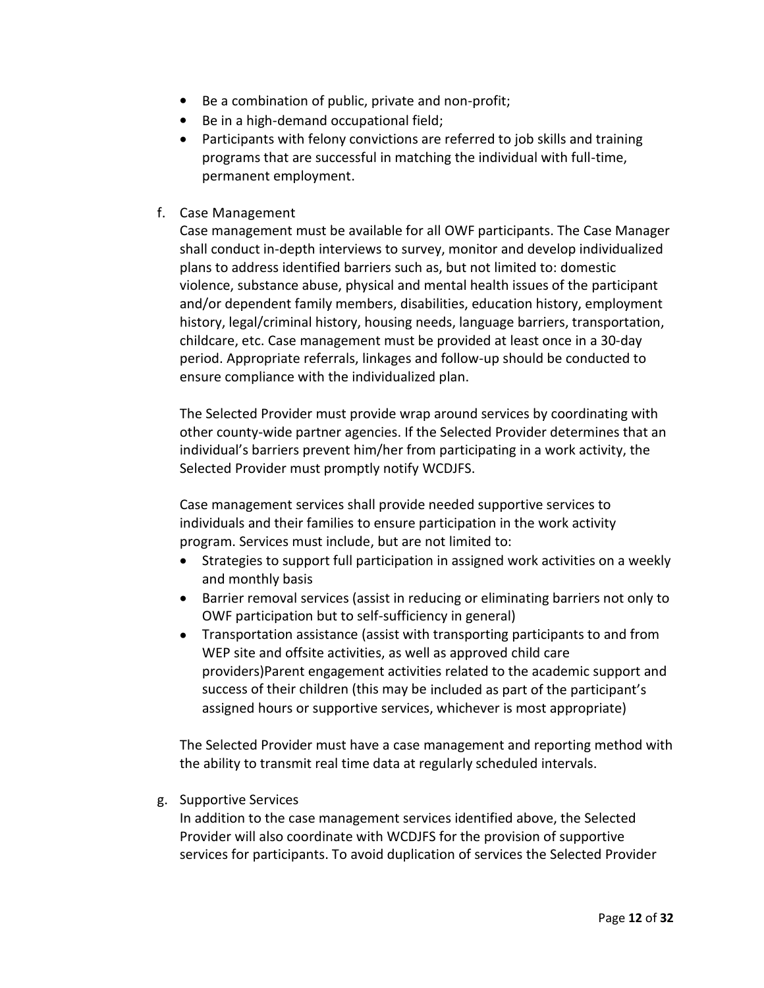- Be a combination of public, private and non-profit;
- Be in a high-demand occupational field;
- Participants with felony convictions are referred to job skills and training programs that are successful in matching the individual with full-time, permanent employment.
- f. Case Management

Case management must be available for all OWF participants. The Case Manager shall conduct in-depth interviews to survey, monitor and develop individualized plans to address identified barriers such as, but not limited to: domestic violence, substance abuse, physical and mental health issues of the participant and/or dependent family members, disabilities, education history, employment history, legal/criminal history, housing needs, language barriers, transportation, childcare, etc. Case management must be provided at least once in a 30-day period. Appropriate referrals, linkages and follow-up should be conducted to ensure compliance with the individualized plan.

The Selected Provider must provide wrap around services by coordinating with other county-wide partner agencies. If the Selected Provider determines that an individual's barriers prevent him/her from participating in a work activity, the Selected Provider must promptly notify WCDJFS.

Case management services shall provide needed supportive services to individuals and their families to ensure participation in the work activity program. Services must include, but are not limited to:

- Strategies to support full participation in assigned work activities on a weekly and monthly basis
- Barrier removal services (assist in reducing or eliminating barriers not only to OWF participation but to self-sufficiency in general)
- Transportation assistance (assist with transporting participants to and from WEP site and offsite activities, as well as approved child care providers)Parent engagement activities related to the academic support and success of their children (this may be included as part of the participant's assigned hours or supportive services, whichever is most appropriate)

The Selected Provider must have a case management and reporting method with the ability to transmit real time data at regularly scheduled intervals.

g. Supportive Services

In addition to the case management services identified above, the Selected Provider will also coordinate with WCDJFS for the provision of supportive services for participants. To avoid duplication of services the Selected Provider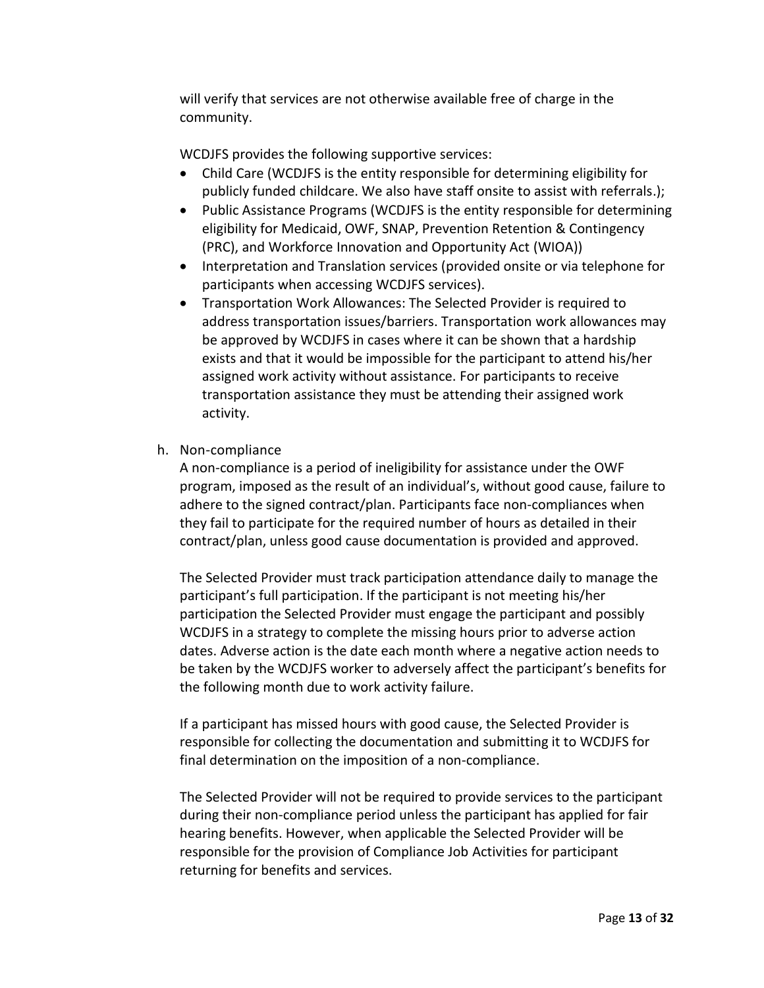will verify that services are not otherwise available free of charge in the community.

WCDJFS provides the following supportive services:

- Child Care (WCDJFS is the entity responsible for determining eligibility for publicly funded childcare. We also have staff onsite to assist with referrals.);
- Public Assistance Programs (WCDJFS is the entity responsible for determining eligibility for Medicaid, OWF, SNAP, Prevention Retention & Contingency (PRC), and Workforce Innovation and Opportunity Act (WIOA))
- Interpretation and Translation services (provided onsite or via telephone for participants when accessing WCDJFS services).
- Transportation Work Allowances: The Selected Provider is required to address transportation issues/barriers. Transportation work allowances may be approved by WCDJFS in cases where it can be shown that a hardship exists and that it would be impossible for the participant to attend his/her assigned work activity without assistance. For participants to receive transportation assistance they must be attending their assigned work activity.
- h. Non-compliance

A non-compliance is a period of ineligibility for assistance under the OWF program, imposed as the result of an individual's, without good cause, failure to adhere to the signed contract/plan. Participants face non-compliances when they fail to participate for the required number of hours as detailed in their contract/plan, unless good cause documentation is provided and approved.

The Selected Provider must track participation attendance daily to manage the participant's full participation. If the participant is not meeting his/her participation the Selected Provider must engage the participant and possibly WCDJFS in a strategy to complete the missing hours prior to adverse action dates. Adverse action is the date each month where a negative action needs to be taken by the WCDJFS worker to adversely affect the participant's benefits for the following month due to work activity failure.

If a participant has missed hours with good cause, the Selected Provider is responsible for collecting the documentation and submitting it to WCDJFS for final determination on the imposition of a non-compliance.

The Selected Provider will not be required to provide services to the participant during their non-compliance period unless the participant has applied for fair hearing benefits. However, when applicable the Selected Provider will be responsible for the provision of Compliance Job Activities for participant returning for benefits and services.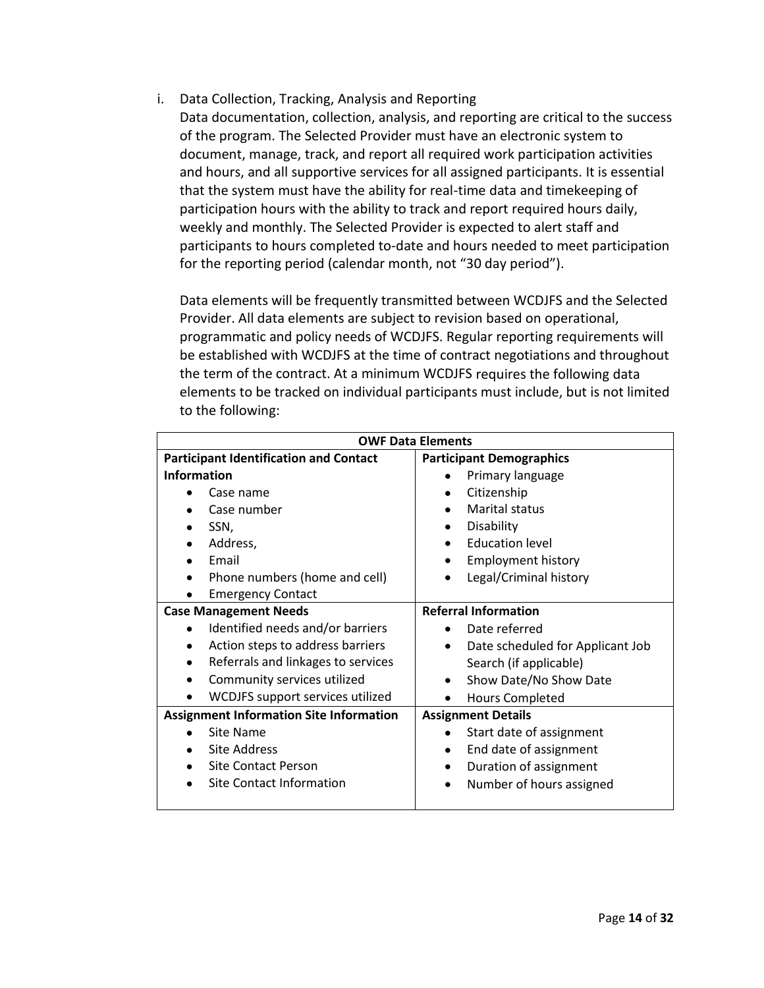- i. Data Collection, Tracking, Analysis and Reporting
	- Data documentation, collection, analysis, and reporting are critical to the success of the program. The Selected Provider must have an electronic system to document, manage, track, and report all required work participation activities and hours, and all supportive services for all assigned participants. It is essential that the system must have the ability for real-time data and timekeeping of participation hours with the ability to track and report required hours daily, weekly and monthly. The Selected Provider is expected to alert staff and participants to hours completed to-date and hours needed to meet participation for the reporting period (calendar month, not "30 day period").

Data elements will be frequently transmitted between WCDJFS and the Selected Provider. All data elements are subject to revision based on operational, programmatic and policy needs of WCDJFS. Regular reporting requirements will be established with WCDJFS at the time of contract negotiations and throughout the term of the contract. At a minimum WCDJFS requires the following data elements to be tracked on individual participants must include, but is not limited to the following:

| <b>OWF Data Elements</b>                        |                                  |
|-------------------------------------------------|----------------------------------|
| <b>Participant Identification and Contact</b>   | <b>Participant Demographics</b>  |
| <b>Information</b>                              | Primary language                 |
| Case name                                       | Citizenship                      |
| Case number                                     | <b>Marital status</b>            |
| SSN,                                            | Disability                       |
| Address,                                        | <b>Education level</b>           |
| Email                                           | <b>Employment history</b>        |
| Phone numbers (home and cell)                   | Legal/Criminal history           |
| <b>Emergency Contact</b>                        |                                  |
| <b>Case Management Needs</b>                    | <b>Referral Information</b>      |
| Identified needs and/or barriers<br>$\bullet$   | Date referred                    |
| Action steps to address barriers<br>$\bullet$   | Date scheduled for Applicant Job |
| Referrals and linkages to services<br>$\bullet$ | Search (if applicable)           |
| Community services utilized                     | Show Date/No Show Date           |
| WCDJFS support services utilized                | <b>Hours Completed</b>           |
| <b>Assignment Information Site Information</b>  | <b>Assignment Details</b>        |
| Site Name                                       | Start date of assignment         |
| <b>Site Address</b>                             | End date of assignment           |
| <b>Site Contact Person</b>                      | Duration of assignment<br>٠      |
| <b>Site Contact Information</b>                 | Number of hours assigned         |
|                                                 |                                  |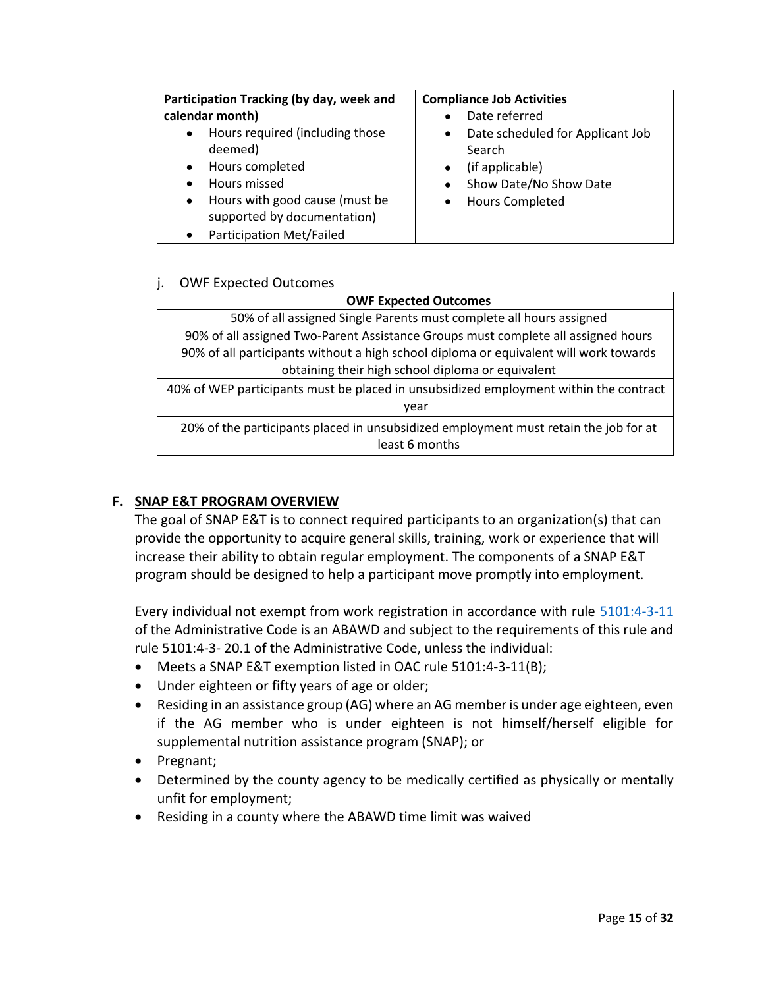| Participation Tracking (by day, week and     | <b>Compliance Job Activities</b>              |
|----------------------------------------------|-----------------------------------------------|
| calendar month)                              | Date referred                                 |
| Hours required (including those<br>$\bullet$ | Date scheduled for Applicant Job<br>$\bullet$ |
| deemed)                                      | Search                                        |
| Hours completed<br>$\bullet$                 | (if applicable)                               |
| Hours missed<br>$\bullet$                    | Show Date/No Show Date                        |
| Hours with good cause (must be<br>$\bullet$  | <b>Hours Completed</b>                        |
| supported by documentation)                  |                                               |
| <b>Participation Met/Failed</b><br>$\bullet$ |                                               |
|                                              |                                               |

#### j. OWF Expected Outcomes

| <b>OWF Expected Outcomes</b>                                                                           |  |
|--------------------------------------------------------------------------------------------------------|--|
| 50% of all assigned Single Parents must complete all hours assigned                                    |  |
| 90% of all assigned Two-Parent Assistance Groups must complete all assigned hours                      |  |
| 90% of all participants without a high school diploma or equivalent will work towards                  |  |
| obtaining their high school diploma or equivalent                                                      |  |
| 40% of WEP participants must be placed in unsubsidized employment within the contract                  |  |
| year                                                                                                   |  |
| 20% of the participants placed in unsubsidized employment must retain the job for at<br>least 6 months |  |

## **F. SNAP E&T PROGRAM OVERVIEW**

The goal of SNAP E&T is to connect required participants to an organization(s) that can provide the opportunity to acquire general skills, training, work or experience that will increase their ability to obtain regular employment. The components of a SNAP E&T program should be designed to help a participant move promptly into employment.

Every individual not exempt from work registration in accordance with rule [5101:4-3-11](http://codes.ohio.gov/oac/5101:4-3-11) of the Administrative Code is an ABAWD and subject to the requirements of this rule and rule 5101:4-3- 20.1 of the Administrative Code, unless the individual:

- Meets a SNAP E&T exemption listed in OAC rule 5101:4-3-11(B);
- Under eighteen or fifty years of age or older;
- Residing in an assistance group (AG) where an AG member is under age eighteen, even if the AG member who is under eighteen is not himself/herself eligible for supplemental nutrition assistance program (SNAP); or
- Pregnant;
- Determined by the county agency to be medically certified as physically or mentally unfit for employment;
- Residing in a county where the ABAWD time limit was waived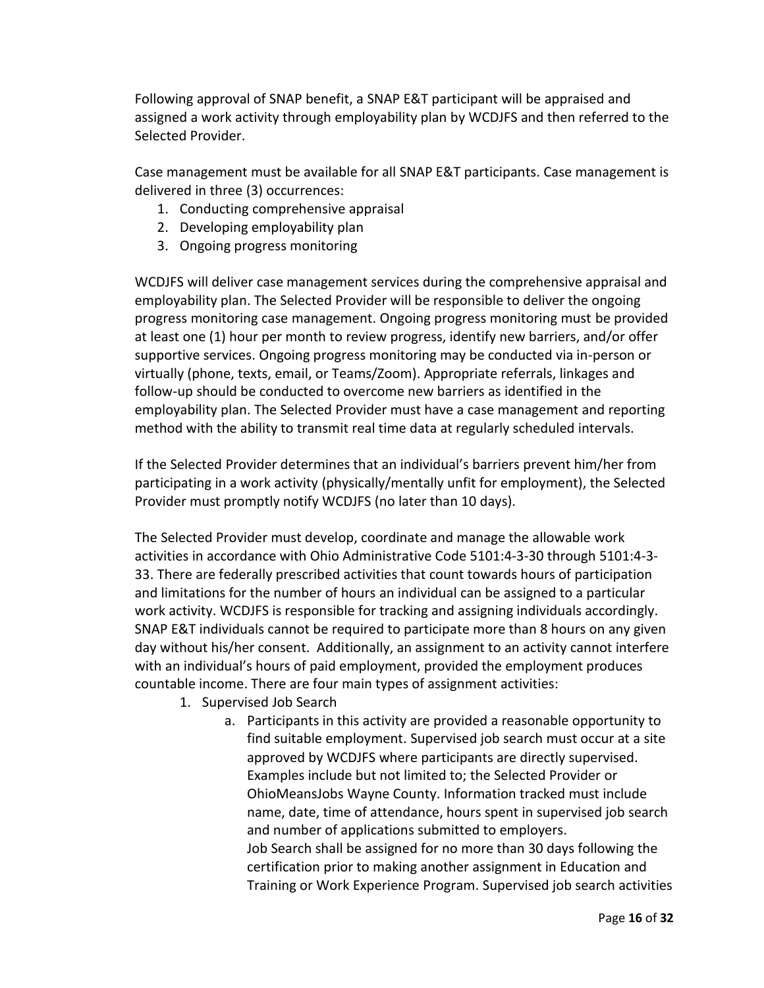Following approval of SNAP benefit, a SNAP E&T participant will be appraised and assigned a work activity through employability plan by WCDJFS and then referred to the Selected Provider.

Case management must be available for all SNAP E&T participants. Case management is delivered in three (3) occurrences:

- 1. Conducting comprehensive appraisal
- 2. Developing employability plan
- 3. Ongoing progress monitoring

WCDJFS will deliver case management services during the comprehensive appraisal and employability plan. The Selected Provider will be responsible to deliver the ongoing progress monitoring case management. Ongoing progress monitoring must be provided at least one (1) hour per month to review progress, identify new barriers, and/or offer supportive services. Ongoing progress monitoring may be conducted via in-person or virtually (phone, texts, email, or Teams/Zoom). Appropriate referrals, linkages and follow-up should be conducted to overcome new barriers as identified in the employability plan. The Selected Provider must have a case management and reporting method with the ability to transmit real time data at regularly scheduled intervals.

If the Selected Provider determines that an individual's barriers prevent him/her from participating in a work activity (physically/mentally unfit for employment), the Selected Provider must promptly notify WCDJFS (no later than 10 days).

The Selected Provider must develop, coordinate and manage the allowable work activities in accordance with Ohio Administrative Code 5101:4-3-30 through 5101:4-3- 33. There are federally prescribed activities that count towards hours of participation and limitations for the number of hours an individual can be assigned to a particular work activity. WCDJFS is responsible for tracking and assigning individuals accordingly. SNAP E&T individuals cannot be required to participate more than 8 hours on any given day without his/her consent. Additionally, an assignment to an activity cannot interfere with an individual's hours of paid employment, provided the employment produces countable income. There are four main types of assignment activities:

- 1. Supervised Job Search
	- a. Participants in this activity are provided a reasonable opportunity to find suitable employment. Supervised job search must occur at a site approved by WCDJFS where participants are directly supervised. Examples include but not limited to; the Selected Provider or OhioMeansJobs Wayne County. Information tracked must include name, date, time of attendance, hours spent in supervised job search and number of applications submitted to employers. Job Search shall be assigned for no more than 30 days following the certification prior to making another assignment in Education and Training or Work Experience Program. Supervised job search activities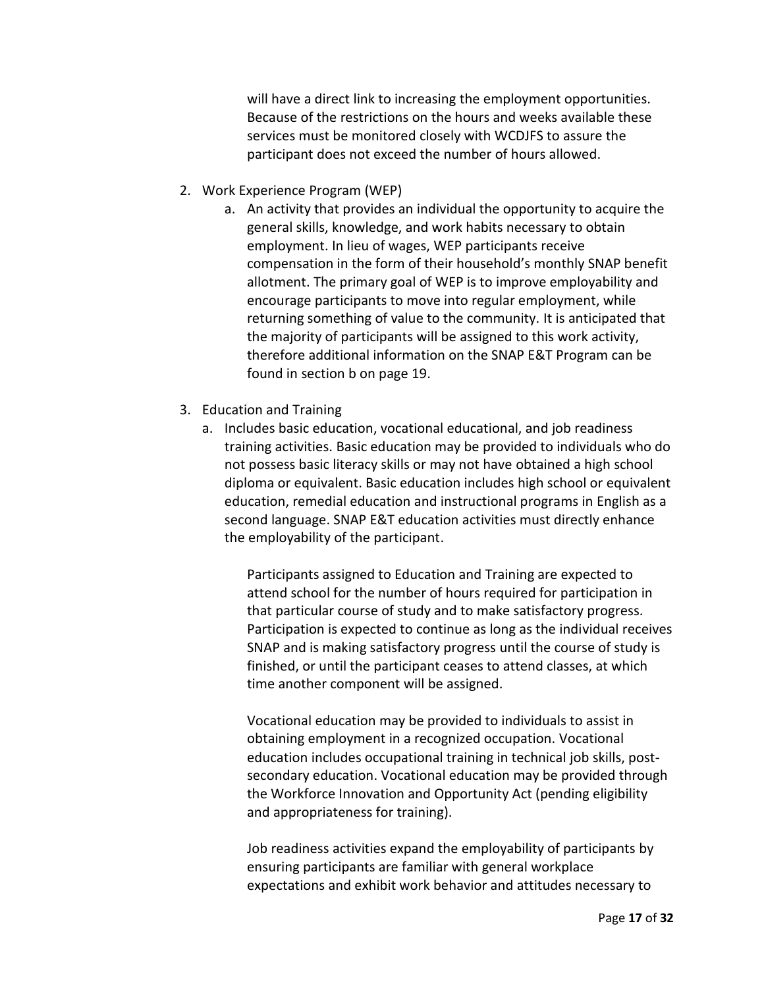will have a direct link to increasing the employment opportunities. Because of the restrictions on the hours and weeks available these services must be monitored closely with WCDJFS to assure the participant does not exceed the number of hours allowed.

- 2. Work Experience Program (WEP)
	- a. An activity that provides an individual the opportunity to acquire the general skills, knowledge, and work habits necessary to obtain employment. In lieu of wages, WEP participants receive compensation in the form of their household's monthly SNAP benefit allotment. The primary goal of WEP is to improve employability and encourage participants to move into regular employment, while returning something of value to the community. It is anticipated that the majority of participants will be assigned to this work activity, therefore additional information on the SNAP E&T Program can be found in section b on page 19.
- 3. Education and Training
	- a. Includes basic education, vocational educational, and job readiness training activities. Basic education may be provided to individuals who do not possess basic literacy skills or may not have obtained a high school diploma or equivalent. Basic education includes high school or equivalent education, remedial education and instructional programs in English as a second language. SNAP E&T education activities must directly enhance the employability of the participant.

Participants assigned to Education and Training are expected to attend school for the number of hours required for participation in that particular course of study and to make satisfactory progress. Participation is expected to continue as long as the individual receives SNAP and is making satisfactory progress until the course of study is finished, or until the participant ceases to attend classes, at which time another component will be assigned.

Vocational education may be provided to individuals to assist in obtaining employment in a recognized occupation. Vocational education includes occupational training in technical job skills, postsecondary education. Vocational education may be provided through the Workforce Innovation and Opportunity Act (pending eligibility and appropriateness for training).

Job readiness activities expand the employability of participants by ensuring participants are familiar with general workplace expectations and exhibit work behavior and attitudes necessary to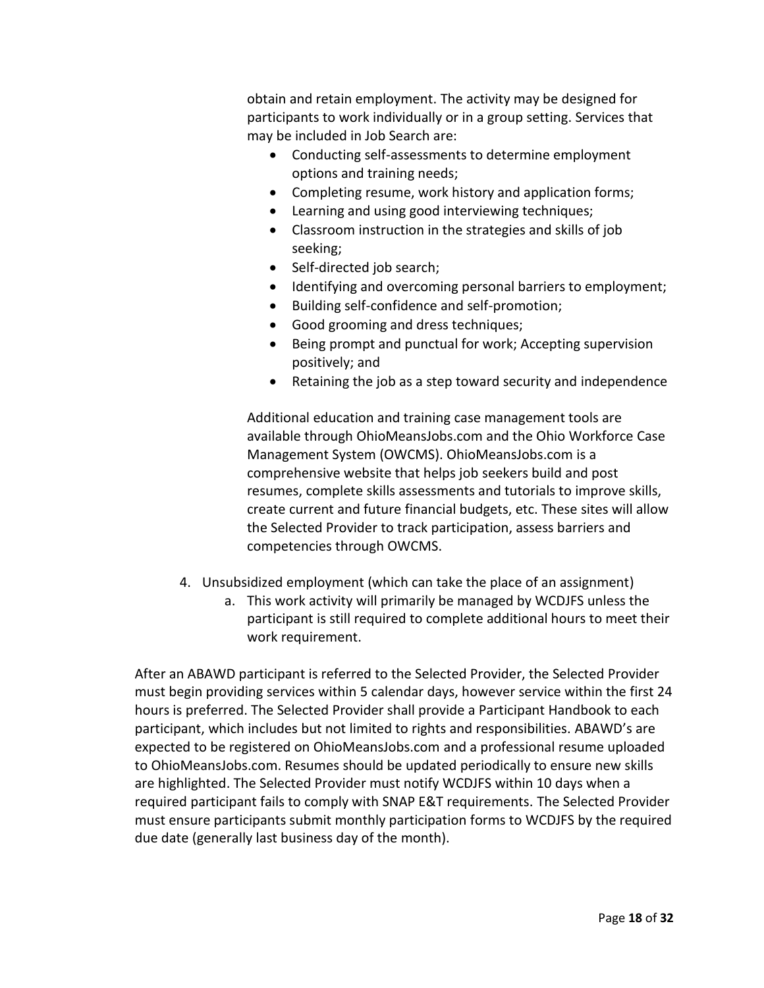obtain and retain employment. The activity may be designed for participants to work individually or in a group setting. Services that may be included in Job Search are:

- Conducting self-assessments to determine employment options and training needs;
- Completing resume, work history and application forms;
- Learning and using good interviewing techniques;
- Classroom instruction in the strategies and skills of job seeking;
- Self-directed job search;
- Identifying and overcoming personal barriers to employment;
- Building self-confidence and self-promotion;
- Good grooming and dress techniques;
- Being prompt and punctual for work; Accepting supervision positively; and
- Retaining the job as a step toward security and independence

Additional education and training case management tools are available through OhioMeansJobs.com and the Ohio Workforce Case Management System (OWCMS). OhioMeansJobs.com is a comprehensive website that helps job seekers build and post resumes, complete skills assessments and tutorials to improve skills, create current and future financial budgets, etc. These sites will allow the Selected Provider to track participation, assess barriers and competencies through OWCMS.

- 4. Unsubsidized employment (which can take the place of an assignment)
	- a. This work activity will primarily be managed by WCDJFS unless the participant is still required to complete additional hours to meet their work requirement.

After an ABAWD participant is referred to the Selected Provider, the Selected Provider must begin providing services within 5 calendar days, however service within the first 24 hours is preferred. The Selected Provider shall provide a Participant Handbook to each participant, which includes but not limited to rights and responsibilities. ABAWD's are expected to be registered on OhioMeansJobs.com and a professional resume uploaded to OhioMeansJobs.com. Resumes should be updated periodically to ensure new skills are highlighted. The Selected Provider must notify WCDJFS within 10 days when a required participant fails to comply with SNAP E&T requirements. The Selected Provider must ensure participants submit monthly participation forms to WCDJFS by the required due date (generally last business day of the month).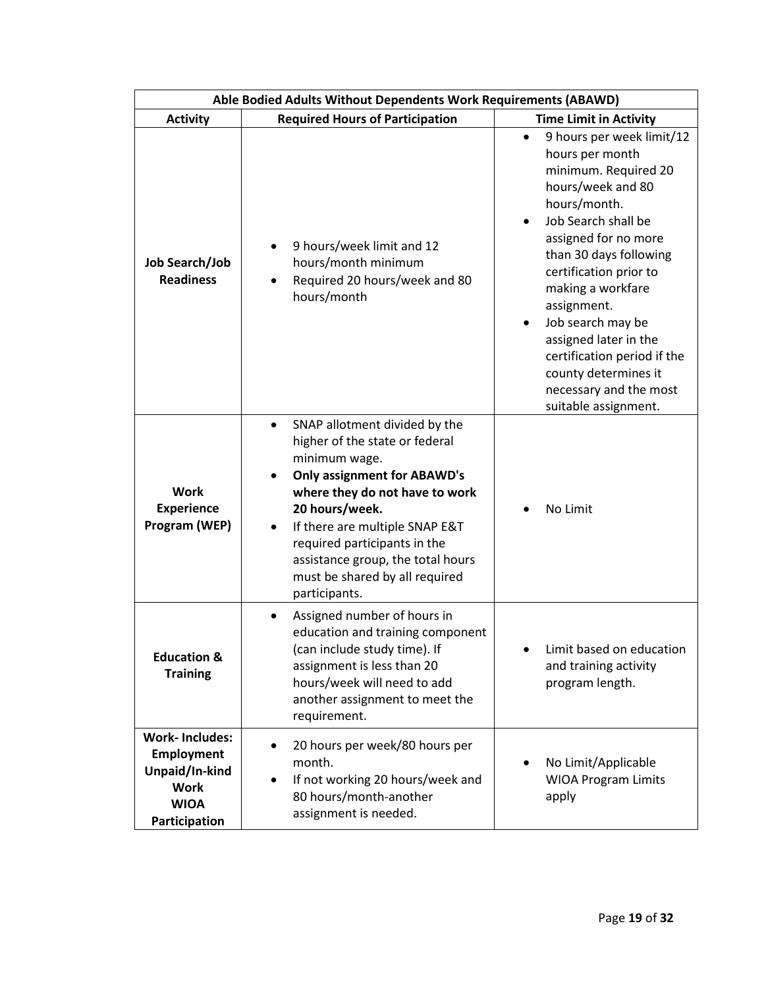| Able Bodied Adults Without Dependents Work Requirements (ABAWD)                                             |                                                                                                                                                                                                                                                                                                                                                                             |                                                                                                                                                                                                                                                                                                                                                                                                                                        |
|-------------------------------------------------------------------------------------------------------------|-----------------------------------------------------------------------------------------------------------------------------------------------------------------------------------------------------------------------------------------------------------------------------------------------------------------------------------------------------------------------------|----------------------------------------------------------------------------------------------------------------------------------------------------------------------------------------------------------------------------------------------------------------------------------------------------------------------------------------------------------------------------------------------------------------------------------------|
| <b>Activity</b>                                                                                             | <b>Required Hours of Participation</b>                                                                                                                                                                                                                                                                                                                                      | <b>Time Limit in Activity</b>                                                                                                                                                                                                                                                                                                                                                                                                          |
| Job Search/Job<br><b>Readiness</b>                                                                          | 9 hours/week limit and 12<br>hours/month minimum<br>Required 20 hours/week and 80<br>$\bullet$<br>hours/month                                                                                                                                                                                                                                                               | 9 hours per week limit/12<br>$\bullet$<br>hours per month<br>minimum. Required 20<br>hours/week and 80<br>hours/month.<br>Job Search shall be<br>$\bullet$<br>assigned for no more<br>than 30 days following<br>certification prior to<br>making a workfare<br>assignment.<br>Job search may be<br>٠<br>assigned later in the<br>certification period if the<br>county determines it<br>necessary and the most<br>suitable assignment. |
| <b>Work</b><br><b>Experience</b><br>Program (WEP)                                                           | SNAP allotment divided by the<br>$\bullet$<br>higher of the state or federal<br>minimum wage.<br><b>Only assignment for ABAWD's</b><br>$\bullet$<br>where they do not have to work<br>20 hours/week.<br>If there are multiple SNAP E&T<br>$\bullet$<br>required participants in the<br>assistance group, the total hours<br>must be shared by all required<br>participants. | No Limit                                                                                                                                                                                                                                                                                                                                                                                                                               |
| <b>Education &amp;</b><br><b>Training</b>                                                                   | Assigned number of hours in<br>education and training component<br>(can include study time). If<br>assignment is less than 20<br>hours/week will need to add<br>another assignment to meet the<br>requirement.                                                                                                                                                              | Limit based on education<br>and training activity<br>program length.                                                                                                                                                                                                                                                                                                                                                                   |
| <b>Work-Includes:</b><br><b>Employment</b><br>Unpaid/In-kind<br><b>Work</b><br><b>WIOA</b><br>Participation | 20 hours per week/80 hours per<br>$\bullet$<br>month.<br>If not working 20 hours/week and<br>$\bullet$<br>80 hours/month-another<br>assignment is needed.                                                                                                                                                                                                                   | No Limit/Applicable<br><b>WIOA Program Limits</b><br>apply                                                                                                                                                                                                                                                                                                                                                                             |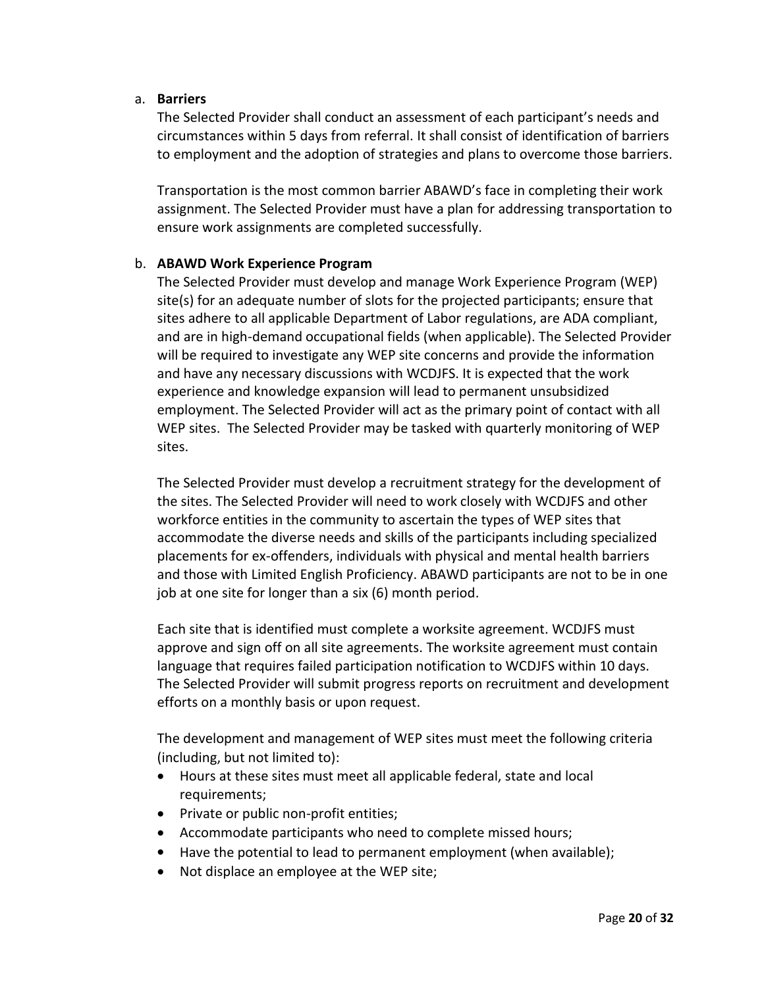#### a. **Barriers**

The Selected Provider shall conduct an assessment of each participant's needs and circumstances within 5 days from referral. It shall consist of identification of barriers to employment and the adoption of strategies and plans to overcome those barriers.

Transportation is the most common barrier ABAWD's face in completing their work assignment. The Selected Provider must have a plan for addressing transportation to ensure work assignments are completed successfully.

#### b. **ABAWD Work Experience Program**

The Selected Provider must develop and manage Work Experience Program (WEP) site(s) for an adequate number of slots for the projected participants; ensure that sites adhere to all applicable Department of Labor regulations, are ADA compliant, and are in high-demand occupational fields (when applicable). The Selected Provider will be required to investigate any WEP site concerns and provide the information and have any necessary discussions with WCDJFS. It is expected that the work experience and knowledge expansion will lead to permanent unsubsidized employment. The Selected Provider will act as the primary point of contact with all WEP sites. The Selected Provider may be tasked with quarterly monitoring of WEP sites.

The Selected Provider must develop a recruitment strategy for the development of the sites. The Selected Provider will need to work closely with WCDJFS and other workforce entities in the community to ascertain the types of WEP sites that accommodate the diverse needs and skills of the participants including specialized placements for ex-offenders, individuals with physical and mental health barriers and those with Limited English Proficiency. ABAWD participants are not to be in one job at one site for longer than a six (6) month period.

Each site that is identified must complete a worksite agreement. WCDJFS must approve and sign off on all site agreements. The worksite agreement must contain language that requires failed participation notification to WCDJFS within 10 days. The Selected Provider will submit progress reports on recruitment and development efforts on a monthly basis or upon request.

The development and management of WEP sites must meet the following criteria (including, but not limited to):

- Hours at these sites must meet all applicable federal, state and local requirements;
- Private or public non-profit entities;
- Accommodate participants who need to complete missed hours;
- Have the potential to lead to permanent employment (when available);
- Not displace an employee at the WEP site;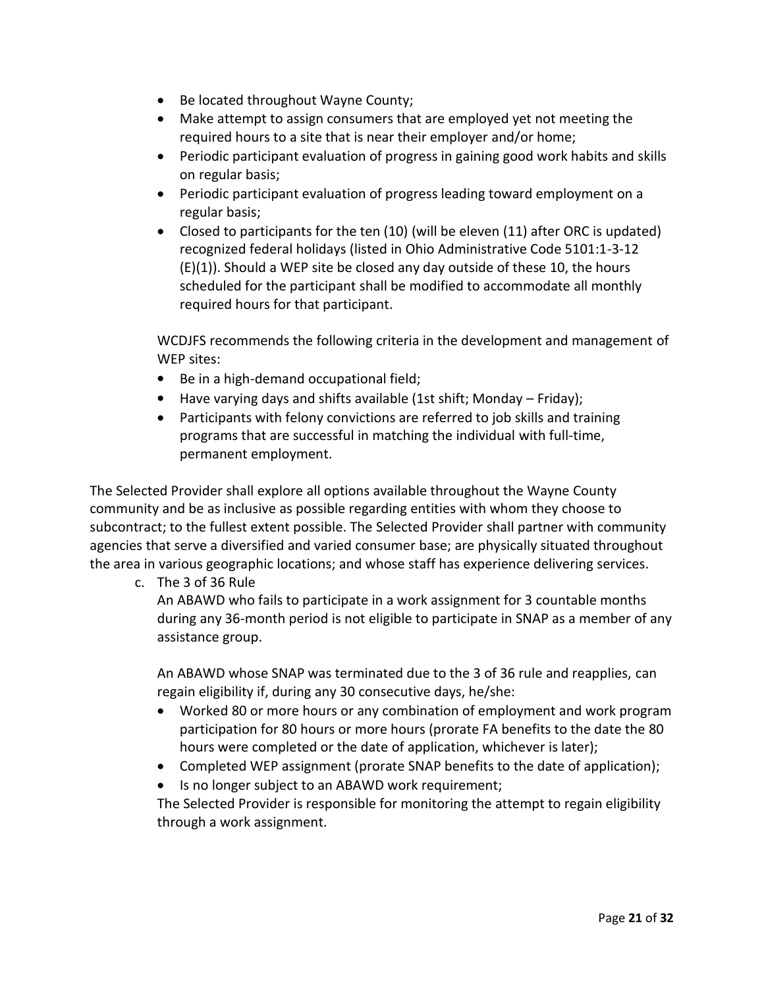- Be located throughout Wayne County;
- Make attempt to assign consumers that are employed yet not meeting the required hours to a site that is near their employer and/or home;
- Periodic participant evaluation of progress in gaining good work habits and skills on regular basis;
- Periodic participant evaluation of progress leading toward employment on a regular basis;
- Closed to participants for the ten (10) (will be eleven (11) after ORC is updated) recognized federal holidays (listed in Ohio Administrative Code 5101:1-3-12 (E)(1)). Should a WEP site be closed any day outside of these 10, the hours scheduled for the participant shall be modified to accommodate all monthly required hours for that participant.

WCDJFS recommends the following criteria in the development and management of WEP sites:

- Be in a high-demand occupational field;
- Have varying days and shifts available (1st shift; Monday Friday);
- Participants with felony convictions are referred to job skills and training programs that are successful in matching the individual with full-time, permanent employment.

The Selected Provider shall explore all options available throughout the Wayne County community and be as inclusive as possible regarding entities with whom they choose to subcontract; to the fullest extent possible. The Selected Provider shall partner with community agencies that serve a diversified and varied consumer base; are physically situated throughout the area in various geographic locations; and whose staff has experience delivering services.

c. The 3 of 36 Rule

An ABAWD who fails to participate in a work assignment for 3 countable months during any 36-month period is not eligible to participate in SNAP as a member of any assistance group.

An ABAWD whose SNAP was terminated due to the 3 of 36 rule and reapplies, can regain eligibility if, during any 30 consecutive days, he/she:

- Worked 80 or more hours or any combination of employment and work program participation for 80 hours or more hours (prorate FA benefits to the date the 80 hours were completed or the date of application, whichever is later);
- Completed WEP assignment (prorate SNAP benefits to the date of application);
- Is no longer subject to an ABAWD work requirement;

The Selected Provider is responsible for monitoring the attempt to regain eligibility through a work assignment.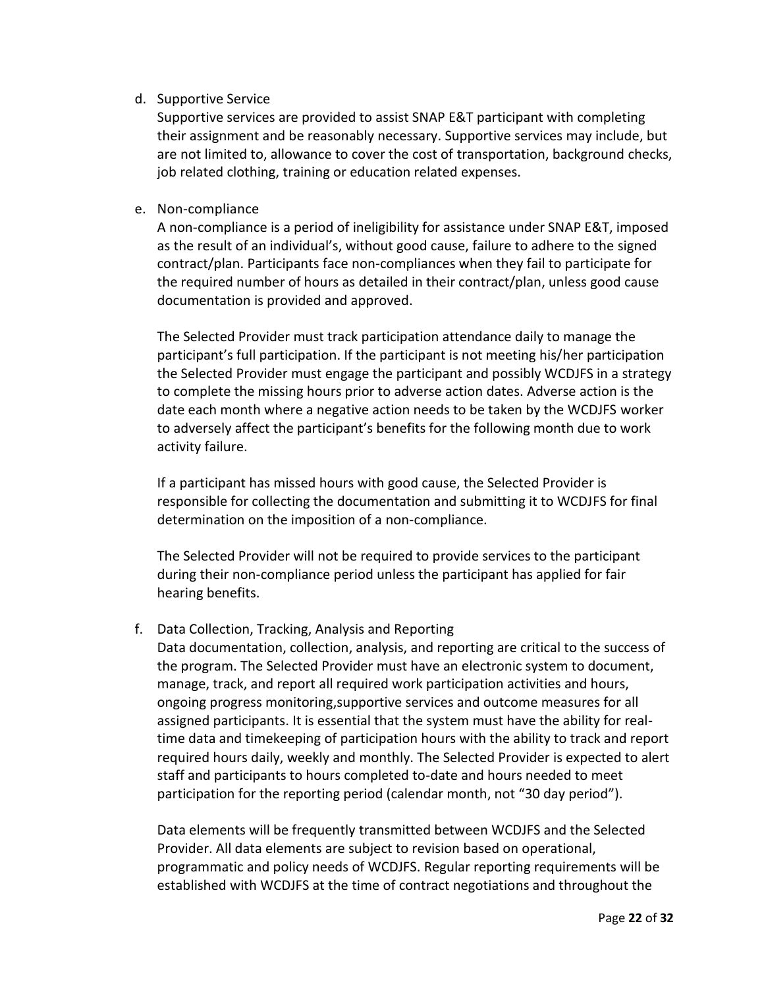## d. Supportive Service

Supportive services are provided to assist SNAP E&T participant with completing their assignment and be reasonably necessary. Supportive services may include, but are not limited to, allowance to cover the cost of transportation, background checks, job related clothing, training or education related expenses.

## e. Non-compliance

A non-compliance is a period of ineligibility for assistance under SNAP E&T, imposed as the result of an individual's, without good cause, failure to adhere to the signed contract/plan. Participants face non-compliances when they fail to participate for the required number of hours as detailed in their contract/plan, unless good cause documentation is provided and approved.

The Selected Provider must track participation attendance daily to manage the participant's full participation. If the participant is not meeting his/her participation the Selected Provider must engage the participant and possibly WCDJFS in a strategy to complete the missing hours prior to adverse action dates. Adverse action is the date each month where a negative action needs to be taken by the WCDJFS worker to adversely affect the participant's benefits for the following month due to work activity failure.

If a participant has missed hours with good cause, the Selected Provider is responsible for collecting the documentation and submitting it to WCDJFS for final determination on the imposition of a non-compliance.

The Selected Provider will not be required to provide services to the participant during their non-compliance period unless the participant has applied for fair hearing benefits.

## f. Data Collection, Tracking, Analysis and Reporting

Data documentation, collection, analysis, and reporting are critical to the success of the program. The Selected Provider must have an electronic system to document, manage, track, and report all required work participation activities and hours, ongoing progress monitoring,supportive services and outcome measures for all assigned participants. It is essential that the system must have the ability for realtime data and timekeeping of participation hours with the ability to track and report required hours daily, weekly and monthly. The Selected Provider is expected to alert staff and participants to hours completed to-date and hours needed to meet participation for the reporting period (calendar month, not "30 day period").

Data elements will be frequently transmitted between WCDJFS and the Selected Provider. All data elements are subject to revision based on operational, programmatic and policy needs of WCDJFS. Regular reporting requirements will be established with WCDJFS at the time of contract negotiations and throughout the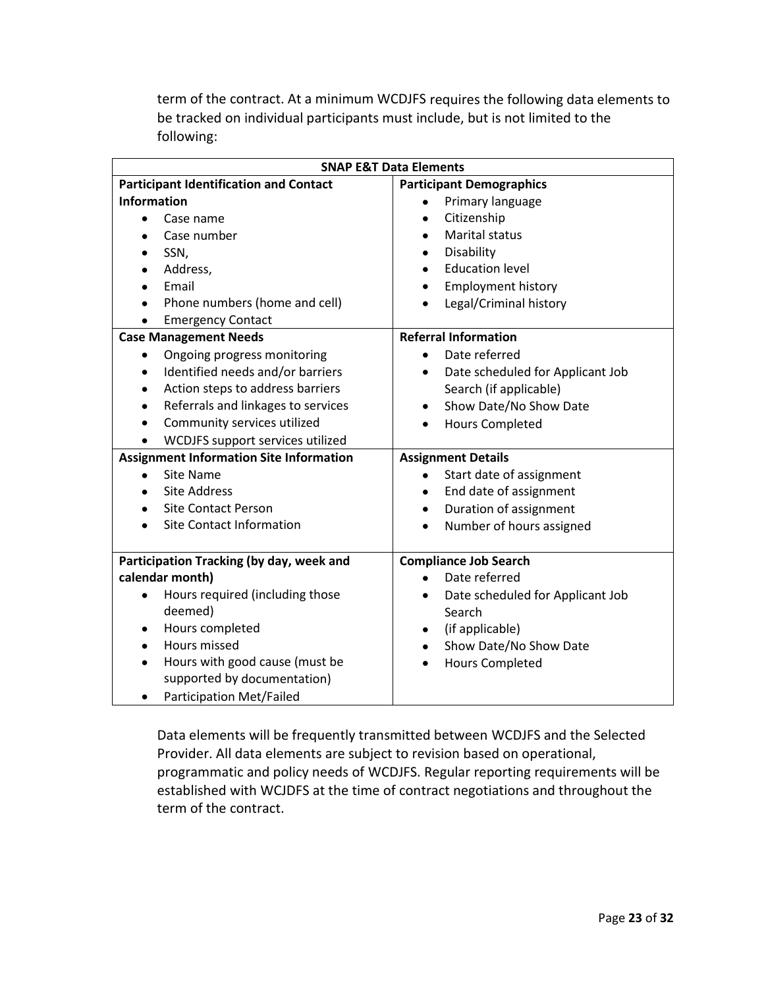term of the contract. At a minimum WCDJFS requires the following data elements to be tracked on individual participants must include, but is not limited to the following:

| <b>SNAP E&amp;T Data Elements</b>              |                                               |  |
|------------------------------------------------|-----------------------------------------------|--|
| <b>Participant Identification and Contact</b>  | <b>Participant Demographics</b>               |  |
| <b>Information</b>                             | Primary language                              |  |
| Case name<br>$\bullet$                         | Citizenship<br>$\bullet$                      |  |
| Case number                                    | Marital status<br>$\bullet$                   |  |
| SSN,                                           | Disability<br>$\bullet$                       |  |
| Address,                                       | <b>Education level</b>                        |  |
| Email                                          | <b>Employment history</b><br>$\bullet$        |  |
| Phone numbers (home and cell)                  | Legal/Criminal history                        |  |
| <b>Emergency Contact</b>                       |                                               |  |
| <b>Case Management Needs</b>                   | <b>Referral Information</b>                   |  |
| Ongoing progress monitoring<br>٠               | Date referred<br>$\bullet$                    |  |
| Identified needs and/or barriers<br>$\bullet$  | Date scheduled for Applicant Job<br>$\bullet$ |  |
| Action steps to address barriers<br>$\bullet$  | Search (if applicable)                        |  |
| Referrals and linkages to services<br>٠        | Show Date/No Show Date                        |  |
| Community services utilized                    | <b>Hours Completed</b><br>$\bullet$           |  |
| WCDJFS support services utilized               |                                               |  |
| <b>Assignment Information Site Information</b> | <b>Assignment Details</b>                     |  |
| <b>Site Name</b>                               | Start date of assignment<br>$\bullet$         |  |
| <b>Site Address</b>                            | End date of assignment<br>$\bullet$           |  |
| <b>Site Contact Person</b>                     | Duration of assignment<br>٠                   |  |
| <b>Site Contact Information</b>                | Number of hours assigned<br>$\bullet$         |  |
|                                                |                                               |  |
| Participation Tracking (by day, week and       | <b>Compliance Job Search</b>                  |  |
| calendar month)                                | Date referred<br>$\bullet$                    |  |
| Hours required (including those<br>$\bullet$   | Date scheduled for Applicant Job<br>$\bullet$ |  |
| deemed)                                        | Search                                        |  |
| Hours completed<br>$\bullet$                   | (if applicable)<br>$\bullet$                  |  |
| Hours missed                                   | Show Date/No Show Date<br>$\bullet$           |  |
| Hours with good cause (must be<br>$\bullet$    | <b>Hours Completed</b><br>$\bullet$           |  |
| supported by documentation)                    |                                               |  |
| <b>Participation Met/Failed</b>                |                                               |  |

Data elements will be frequently transmitted between WCDJFS and the Selected Provider. All data elements are subject to revision based on operational, programmatic and policy needs of WCDJFS. Regular reporting requirements will be established with WCJDFS at the time of contract negotiations and throughout the term of the contract.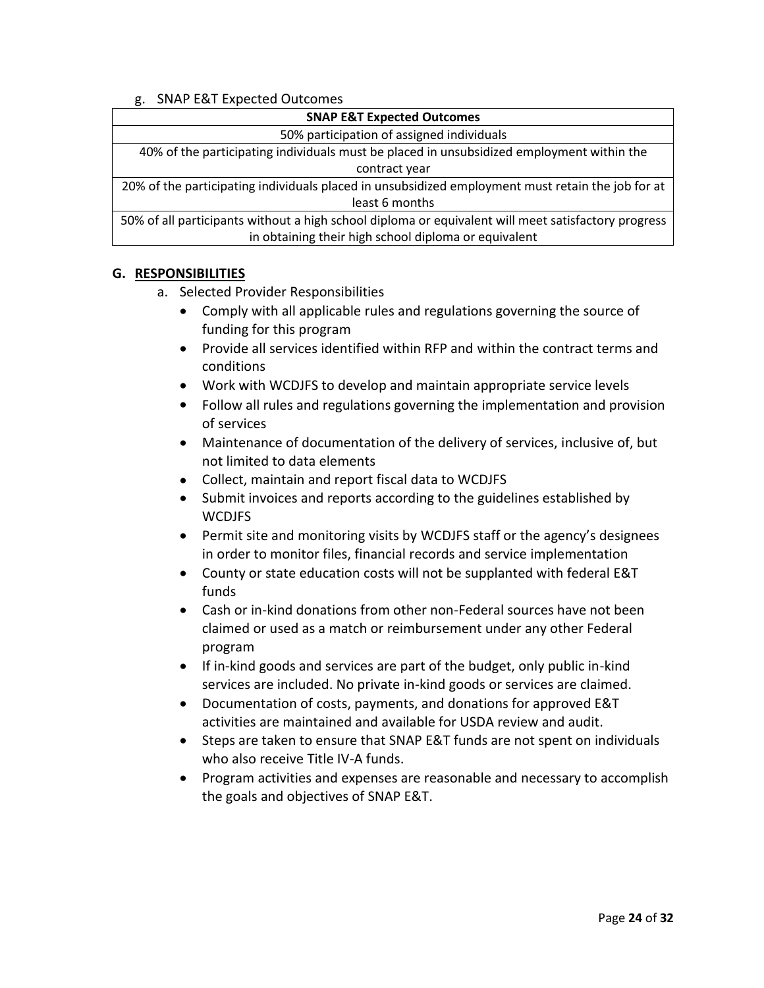## g. SNAP E&T Expected Outcomes

| <b>SNAP E&amp;T Expected Outcomes</b>                                                               |  |
|-----------------------------------------------------------------------------------------------------|--|
| 50% participation of assigned individuals                                                           |  |
| 40% of the participating individuals must be placed in unsubsidized employment within the           |  |
| contract year                                                                                       |  |
| 20% of the participating individuals placed in unsubsidized employment must retain the job for at   |  |
| least 6 months                                                                                      |  |
| 50% of all participants without a high school diploma or equivalent will meet satisfactory progress |  |
| in obtaining their high school diploma or equivalent                                                |  |

#### **G. RESPONSIBILITIES**

- a. Selected Provider Responsibilities
	- Comply with all applicable rules and regulations governing the source of funding for this program
	- Provide all services identified within RFP and within the contract terms and conditions
	- Work with WCDJFS to develop and maintain appropriate service levels
	- Follow all rules and regulations governing the implementation and provision of services
	- Maintenance of documentation of the delivery of services, inclusive of, but not limited to data elements
	- Collect, maintain and report fiscal data to WCDJFS
	- Submit invoices and reports according to the guidelines established by **WCDJFS**
	- Permit site and monitoring visits by WCDJFS staff or the agency's designees in order to monitor files, financial records and service implementation
	- County or state education costs will not be supplanted with federal E&T funds
	- Cash or in-kind donations from other non-Federal sources have not been claimed or used as a match or reimbursement under any other Federal program
	- If in-kind goods and services are part of the budget, only public in-kind services are included. No private in-kind goods or services are claimed.
	- Documentation of costs, payments, and donations for approved E&T activities are maintained and available for USDA review and audit.
	- Steps are taken to ensure that SNAP E&T funds are not spent on individuals who also receive Title IV-A funds.
	- Program activities and expenses are reasonable and necessary to accomplish the goals and objectives of SNAP E&T.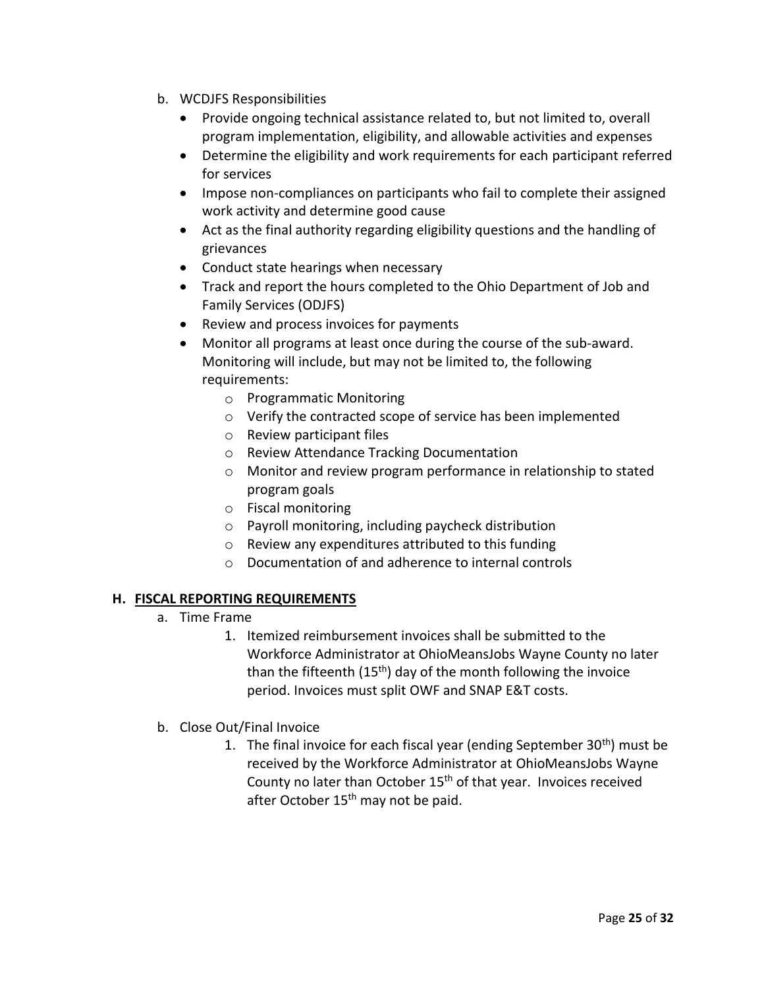- b. WCDJFS Responsibilities
	- Provide ongoing technical assistance related to, but not limited to, overall program implementation, eligibility, and allowable activities and expenses
	- Determine the eligibility and work requirements for each participant referred for services
	- Impose non-compliances on participants who fail to complete their assigned work activity and determine good cause
	- Act as the final authority regarding eligibility questions and the handling of grievances
	- Conduct state hearings when necessary
	- Track and report the hours completed to the Ohio Department of Job and Family Services (ODJFS)
	- Review and process invoices for payments
	- Monitor all programs at least once during the course of the sub-award. Monitoring will include, but may not be limited to, the following requirements:
		- o Programmatic Monitoring
		- o Verify the contracted scope of service has been implemented
		- o Review participant files
		- o Review Attendance Tracking Documentation
		- o Monitor and review program performance in relationship to stated program goals
		- o Fiscal monitoring
		- o Payroll monitoring, including paycheck distribution
		- o Review any expenditures attributed to this funding
		- o Documentation of and adherence to internal controls

## **H. FISCAL REPORTING REQUIREMENTS**

- a. Time Frame
	- 1. Itemized reimbursement invoices shall be submitted to the Workforce Administrator at OhioMeansJobs Wayne County no later than the fifteenth  $(15<sup>th</sup>)$  day of the month following the invoice period. Invoices must split OWF and SNAP E&T costs.
- b. Close Out/Final Invoice
	- 1. The final invoice for each fiscal year (ending September  $30<sup>th</sup>$ ) must be received by the Workforce Administrator at OhioMeansJobs Wayne County no later than October 15<sup>th</sup> of that year. Invoices received after October 15<sup>th</sup> may not be paid.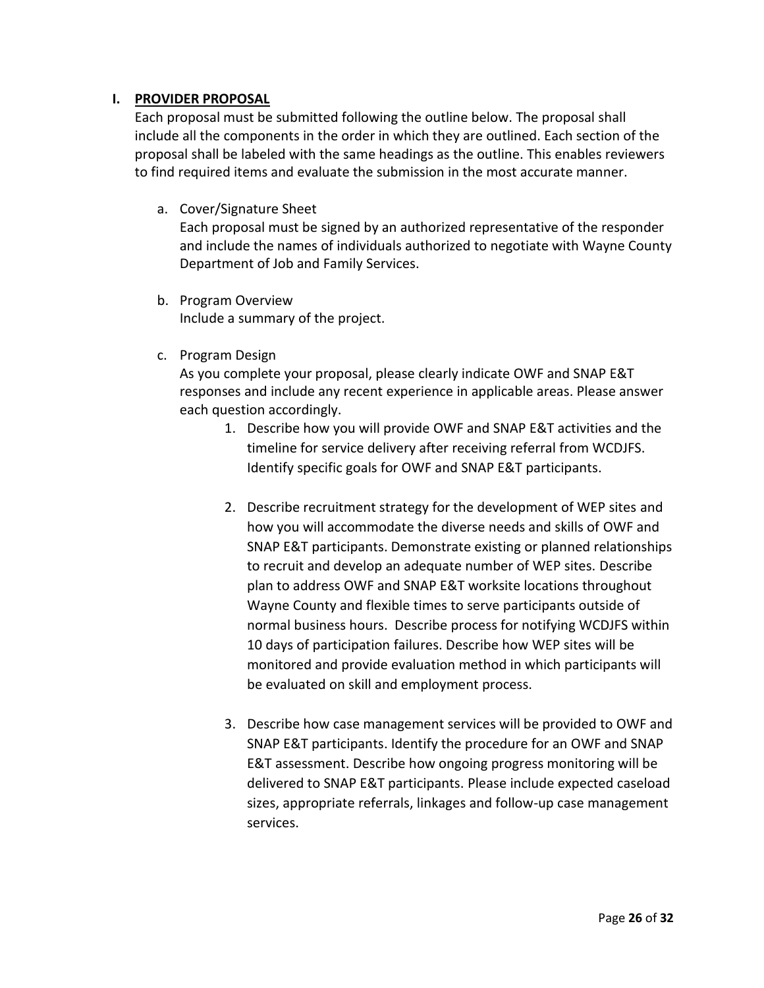## **I. PROVIDER PROPOSAL**

Each proposal must be submitted following the outline below. The proposal shall include all the components in the order in which they are outlined. Each section of the proposal shall be labeled with the same headings as the outline. This enables reviewers to find required items and evaluate the submission in the most accurate manner.

a. Cover/Signature Sheet

Each proposal must be signed by an authorized representative of the responder and include the names of individuals authorized to negotiate with Wayne County Department of Job and Family Services.

- b. Program Overview Include a summary of the project.
- c. Program Design

As you complete your proposal, please clearly indicate OWF and SNAP E&T responses and include any recent experience in applicable areas. Please answer each question accordingly.

- 1. Describe how you will provide OWF and SNAP E&T activities and the timeline for service delivery after receiving referral from WCDJFS. Identify specific goals for OWF and SNAP E&T participants.
- 2. Describe recruitment strategy for the development of WEP sites and how you will accommodate the diverse needs and skills of OWF and SNAP E&T participants. Demonstrate existing or planned relationships to recruit and develop an adequate number of WEP sites. Describe plan to address OWF and SNAP E&T worksite locations throughout Wayne County and flexible times to serve participants outside of normal business hours. Describe process for notifying WCDJFS within 10 days of participation failures. Describe how WEP sites will be monitored and provide evaluation method in which participants will be evaluated on skill and employment process.
- 3. Describe how case management services will be provided to OWF and SNAP E&T participants. Identify the procedure for an OWF and SNAP E&T assessment. Describe how ongoing progress monitoring will be delivered to SNAP E&T participants. Please include expected caseload sizes, appropriate referrals, linkages and follow-up case management services.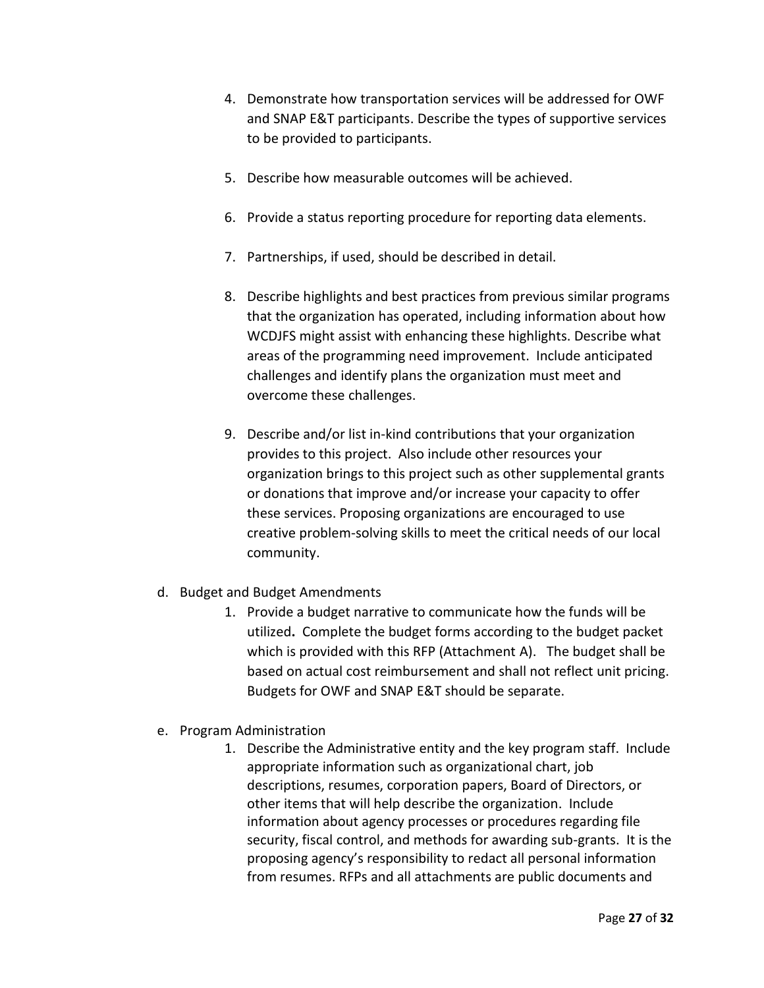- 4. Demonstrate how transportation services will be addressed for OWF and SNAP E&T participants. Describe the types of supportive services to be provided to participants.
- 5. Describe how measurable outcomes will be achieved.
- 6. Provide a status reporting procedure for reporting data elements.
- 7. Partnerships, if used, should be described in detail.
- 8. Describe highlights and best practices from previous similar programs that the organization has operated, including information about how WCDJFS might assist with enhancing these highlights. Describe what areas of the programming need improvement. Include anticipated challenges and identify plans the organization must meet and overcome these challenges.
- 9. Describe and/or list in-kind contributions that your organization provides to this project. Also include other resources your organization brings to this project such as other supplemental grants or donations that improve and/or increase your capacity to offer these services. Proposing organizations are encouraged to use creative problem-solving skills to meet the critical needs of our local community.
- d. Budget and Budget Amendments
	- 1. Provide a budget narrative to communicate how the funds will be utilized**.** Complete the budget forms according to the budget packet which is provided with this RFP (Attachment A). The budget shall be based on actual cost reimbursement and shall not reflect unit pricing. Budgets for OWF and SNAP E&T should be separate.
- e. Program Administration
	- 1. Describe the Administrative entity and the key program staff. Include appropriate information such as organizational chart, job descriptions, resumes, corporation papers, Board of Directors, or other items that will help describe the organization. Include information about agency processes or procedures regarding file security, fiscal control, and methods for awarding sub-grants. It is the proposing agency's responsibility to redact all personal information from resumes. RFPs and all attachments are public documents and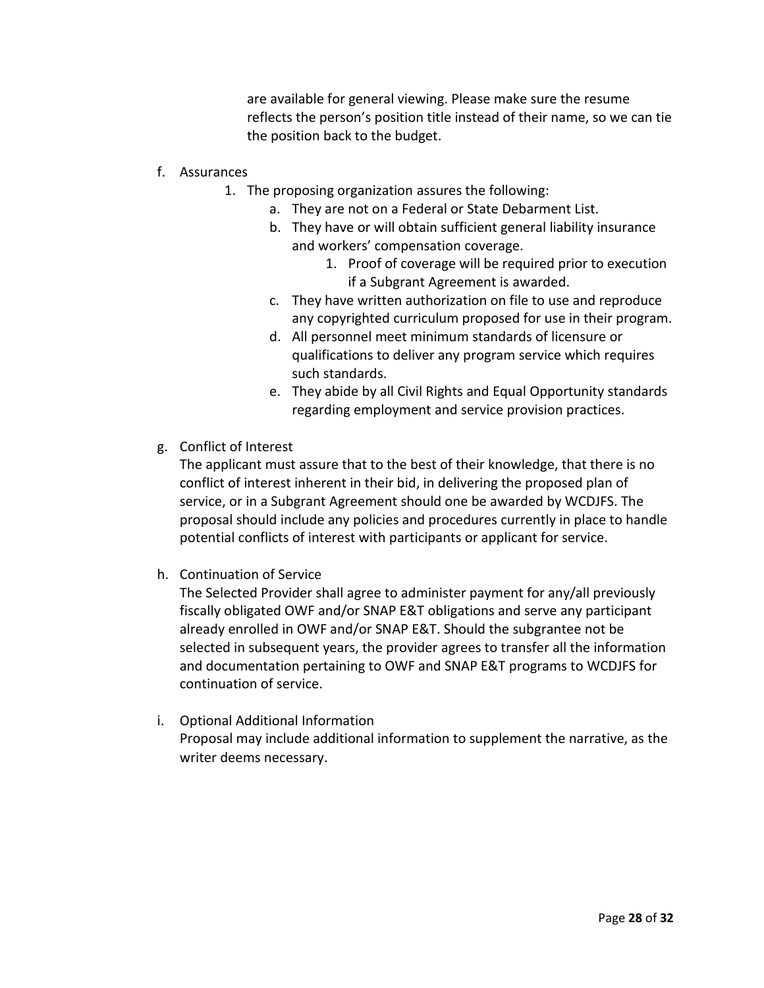are available for general viewing. Please make sure the resume reflects the person's position title instead of their name, so we can tie the position back to the budget.

- f. Assurances
	- 1. The proposing organization assures the following:
		- a. They are not on a Federal or State Debarment List.
		- b. They have or will obtain sufficient general liability insurance and workers' compensation coverage.
			- 1. Proof of coverage will be required prior to execution if a Subgrant Agreement is awarded.
		- c. They have written authorization on file to use and reproduce any copyrighted curriculum proposed for use in their program.
		- d. All personnel meet minimum standards of licensure or qualifications to deliver any program service which requires such standards.
		- e. They abide by all Civil Rights and Equal Opportunity standards regarding employment and service provision practices.
- g. Conflict of Interest

The applicant must assure that to the best of their knowledge, that there is no conflict of interest inherent in their bid, in delivering the proposed plan of service, or in a Subgrant Agreement should one be awarded by WCDJFS. The proposal should include any policies and procedures currently in place to handle potential conflicts of interest with participants or applicant for service.

h. Continuation of Service

The Selected Provider shall agree to administer payment for any/all previously fiscally obligated OWF and/or SNAP E&T obligations and serve any participant already enrolled in OWF and/or SNAP E&T. Should the subgrantee not be selected in subsequent years, the provider agrees to transfer all the information and documentation pertaining to OWF and SNAP E&T programs to WCDJFS for continuation of service.

i. Optional Additional Information Proposal may include additional information to supplement the narrative, as the writer deems necessary.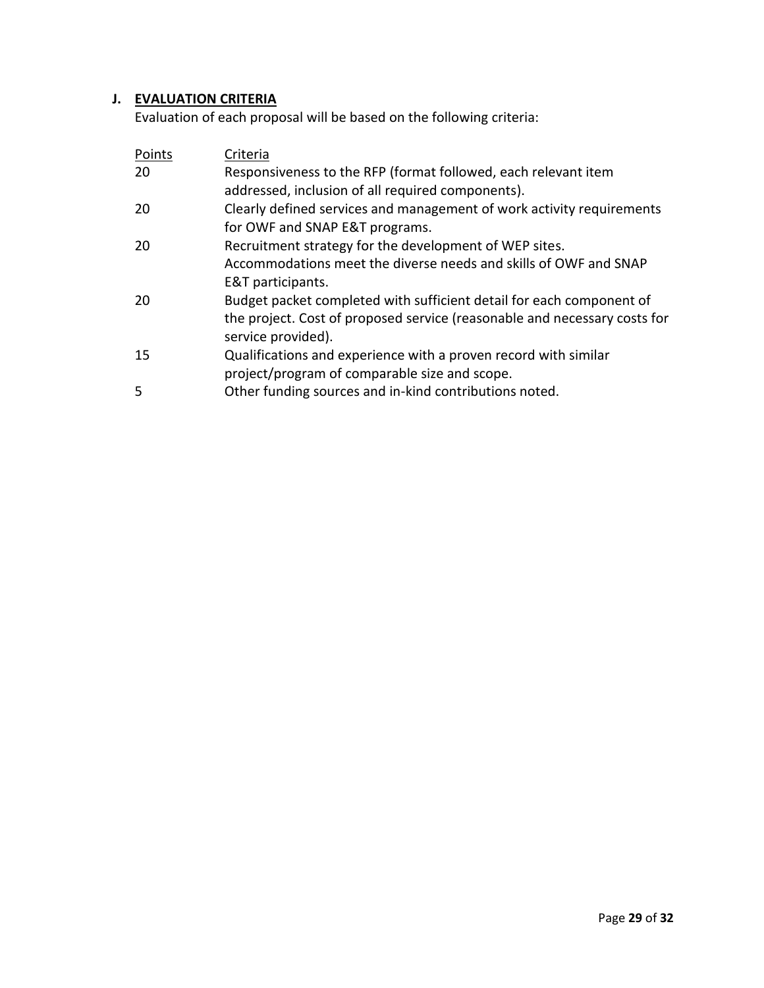## **J. EVALUATION CRITERIA**

Evaluation of each proposal will be based on the following criteria:

| Points | Criteria                                                                  |
|--------|---------------------------------------------------------------------------|
| 20     | Responsiveness to the RFP (format followed, each relevant item            |
|        | addressed, inclusion of all required components).                         |
| 20     | Clearly defined services and management of work activity requirements     |
|        | for OWF and SNAP E&T programs.                                            |
| 20     | Recruitment strategy for the development of WEP sites.                    |
|        | Accommodations meet the diverse needs and skills of OWF and SNAP          |
|        | E&T participants.                                                         |
| 20     | Budget packet completed with sufficient detail for each component of      |
|        | the project. Cost of proposed service (reasonable and necessary costs for |
|        | service provided).                                                        |
| 15     | Qualifications and experience with a proven record with similar           |
|        | project/program of comparable size and scope.                             |
| 5      | Other funding sources and in-kind contributions noted.                    |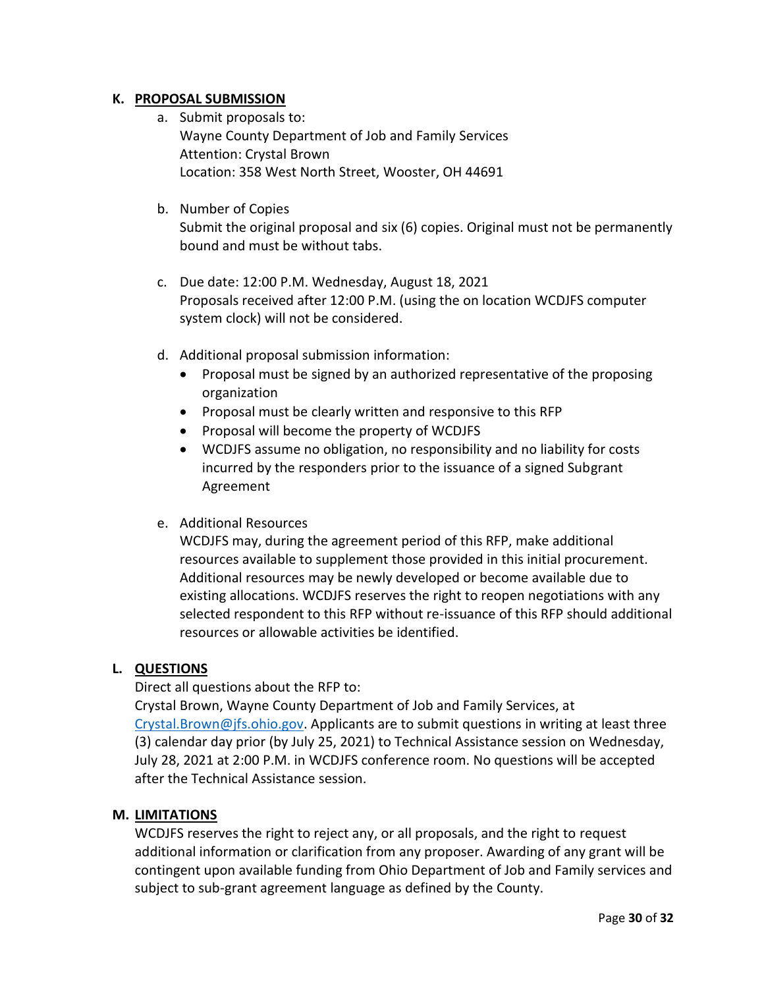## **K. PROPOSAL SUBMISSION**

- a. Submit proposals to: Wayne County Department of Job and Family Services Attention: Crystal Brown Location: 358 West North Street, Wooster, OH 44691
- b. Number of Copies

Submit the original proposal and six (6) copies. Original must not be permanently bound and must be without tabs.

- c. Due date: 12:00 P.M. Wednesday, August 18, 2021 Proposals received after 12:00 P.M. (using the on location WCDJFS computer system clock) will not be considered.
- d. Additional proposal submission information:
	- Proposal must be signed by an authorized representative of the proposing organization
	- Proposal must be clearly written and responsive to this RFP
	- Proposal will become the property of WCDJFS
	- WCDJFS assume no obligation, no responsibility and no liability for costs incurred by the responders prior to the issuance of a signed Subgrant Agreement

## e. Additional Resources

WCDJFS may, during the agreement period of this RFP, make additional resources available to supplement those provided in this initial procurement. Additional resources may be newly developed or become available due to existing allocations. WCDJFS reserves the right to reopen negotiations with any selected respondent to this RFP without re-issuance of this RFP should additional resources or allowable activities be identified.

## **L. QUESTIONS**

Direct all questions about the RFP to:

Crystal Brown, Wayne County Department of Job and Family Services, at [Crystal.Brown@jfs.ohio.gov.](mailto:Crystal.Brown@jfs.ohio.gov) Applicants are to submit questions in writing at least three (3) calendar day prior (by July 25, 2021) to Technical Assistance session on Wednesday, July 28, 2021 at 2:00 P.M. in WCDJFS conference room. No questions will be accepted after the Technical Assistance session.

#### **M. LIMITATIONS**

WCDJFS reserves the right to reject any, or all proposals, and the right to request additional information or clarification from any proposer. Awarding of any grant will be contingent upon available funding from Ohio Department of Job and Family services and subject to sub-grant agreement language as defined by the County.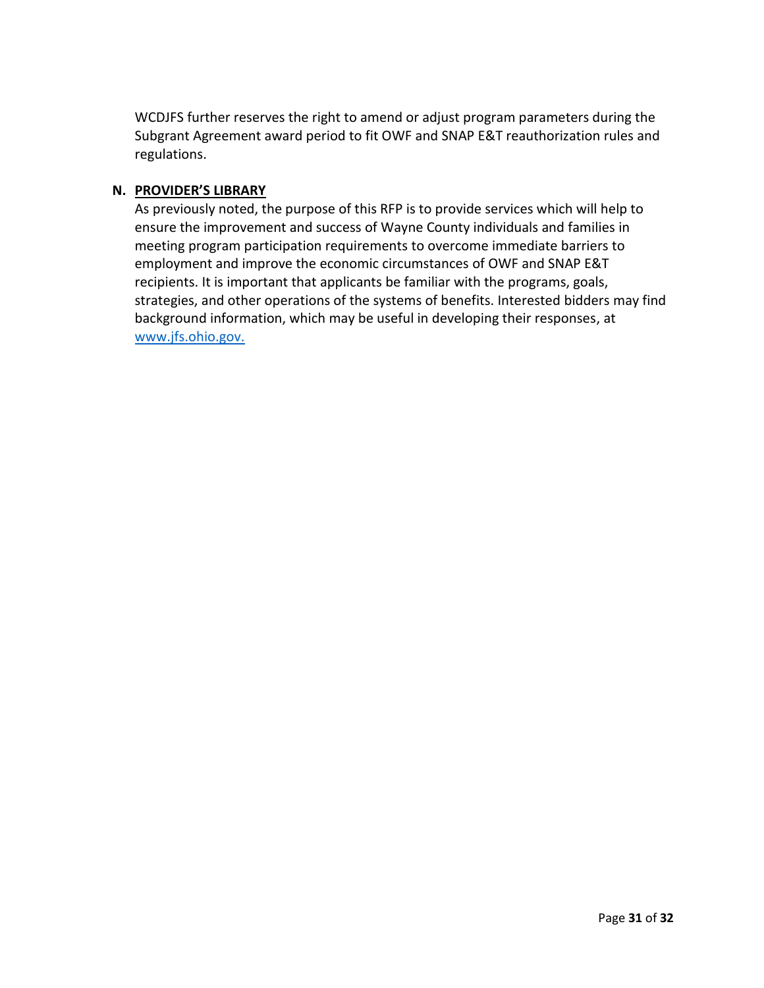WCDJFS further reserves the right to amend or adjust program parameters during the Subgrant Agreement award period to fit OWF and SNAP E&T reauthorization rules and regulations.

#### **N. PROVIDER'S LIBRARY**

As previously noted, the purpose of this RFP is to provide services which will help to ensure the improvement and success of Wayne County individuals and families in meeting program participation requirements to overcome immediate barriers to employment and improve the economic circumstances of OWF and SNAP E&T recipients. It is important that applicants be familiar with the programs, goals, strategies, and other operations of the systems of benefits. Interested bidders may find background information, which may be useful in developing their responses, at [www.jfs.ohio.gov.](http://www.jfs.ohio.gov/)